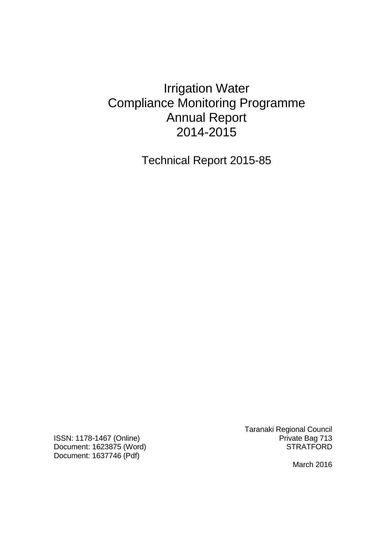# Irrigation Water Compliance Monitoring Programme Annual Report 2014-2015

Technical Report 2015-85

ISSN: 1178-1467 (Online) **Private Bag 713** Document: 1623875 (Word) STRATFORD Document: 1637746 (Pdf)

Taranaki Regional Council

March 2016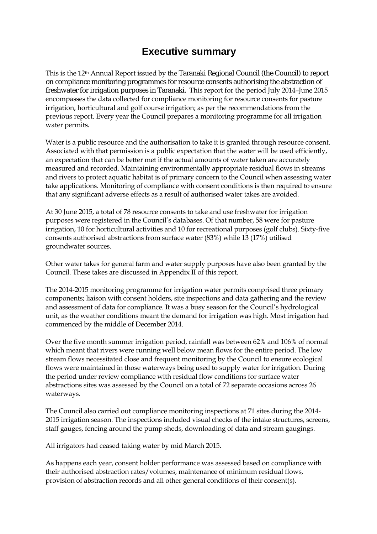### **Executive summary**

This is the 12th Annual Report issued by the Taranaki Regional Council (the Council) to report on compliance monitoring programmes for resource consents authorising the abstraction of freshwater for irrigation purposes in Taranaki. This report for the period July 2014–June 2015 encompasses the data collected for compliance monitoring for resource consents for pasture irrigation, horticultural and golf course irrigation; as per the recommendations from the previous report. Every year the Council prepares a monitoring programme for all irrigation water permits.

Water is a public resource and the authorisation to take it is granted through resource consent. Associated with that permission is a public expectation that the water will be used efficiently, an expectation that can be better met if the actual amounts of water taken are accurately measured and recorded. Maintaining environmentally appropriate residual flows in streams and rivers to protect aquatic habitat is of primary concern to the Council when assessing water take applications. Monitoring of compliance with consent conditions is then required to ensure that any significant adverse effects as a result of authorised water takes are avoided.

At 30 June 2015, a total of 78 resource consents to take and use freshwater for irrigation purposes were registered in the Council's databases. Of that number, 58 were for pasture irrigation, 10 for horticultural activities and 10 for recreational purposes (golf clubs). Sixty-five consents authorised abstractions from surface water (83%) while 13 (17%) utilised groundwater sources.

Other water takes for general farm and water supply purposes have also been granted by the Council. These takes are discussed in Appendix II of this report.

The 2014-2015 monitoring programme for irrigation water permits comprised three primary components; liaison with consent holders, site inspections and data gathering and the review and assessment of data for compliance. It was a busy season for the Council's hydrological unit, as the weather conditions meant the demand for irrigation was high. Most irrigation had commenced by the middle of December 2014.

Over the five month summer irrigation period, rainfall was between 62% and 106% of normal which meant that rivers were running well below mean flows for the entire period. The low stream flows necessitated close and frequent monitoring by the Council to ensure ecological flows were maintained in those waterways being used to supply water for irrigation. During the period under review compliance with residual flow conditions for surface water abstractions sites was assessed by the Council on a total of 72 separate occasions across 26 waterways.

The Council also carried out compliance monitoring inspections at 71 sites during the 2014- 2015 irrigation season. The inspections included visual checks of the intake structures, screens, staff gauges, fencing around the pump sheds, downloading of data and stream gaugings.

All irrigators had ceased taking water by mid March 2015.

As happens each year, consent holder performance was assessed based on compliance with their authorised abstraction rates/volumes, maintenance of minimum residual flows, provision of abstraction records and all other general conditions of their consent(s).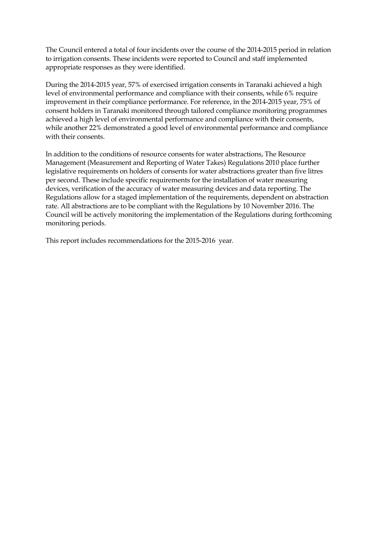The Council entered a total of four incidents over the course of the 2014-2015 period in relation to irrigation consents. These incidents were reported to Council and staff implemented appropriate responses as they were identified.

During the 2014-2015 year, 57% of exercised irrigation consents in Taranaki achieved a high level of environmental performance and compliance with their consents, while 6% require improvement in their compliance performance. For reference, in the 2014-2015 year, 75% of consent holders in Taranaki monitored through tailored compliance monitoring programmes achieved a high level of environmental performance and compliance with their consents, while another 22% demonstrated a good level of environmental performance and compliance with their consents.

In addition to the conditions of resource consents for water abstractions, The Resource Management (Measurement and Reporting of Water Takes) Regulations 2010 place further legislative requirements on holders of consents for water abstractions greater than five litres per second. These include specific requirements for the installation of water measuring devices, verification of the accuracy of water measuring devices and data reporting. The Regulations allow for a staged implementation of the requirements, dependent on abstraction rate. All abstractions are to be compliant with the Regulations by 10 November 2016. The Council will be actively monitoring the implementation of the Regulations during forthcoming monitoring periods.

This report includes recommendations for the 2015-2016 year*.*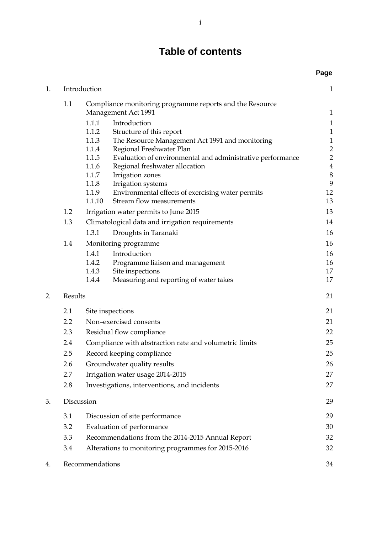## **Table of contents**

|    |         |                                                  |                                                                                        | Page                         |
|----|---------|--------------------------------------------------|----------------------------------------------------------------------------------------|------------------------------|
| 1. |         | Introduction                                     |                                                                                        | $\mathbf{1}$                 |
|    | 1.1     |                                                  | Compliance monitoring programme reports and the Resource                               |                              |
|    |         |                                                  | Management Act 1991                                                                    | $\mathbf{1}$                 |
|    |         | 1.1.1                                            | Introduction                                                                           | $\mathbf{1}$                 |
|    |         | 1.1.2                                            | Structure of this report                                                               | $\mathbf{1}$                 |
|    |         | 1.1.3                                            | The Resource Management Act 1991 and monitoring                                        | $\mathbf{1}$                 |
|    |         | 1.1.4<br>1.1.5                                   | Regional Freshwater Plan<br>Evaluation of environmental and administrative performance | $\sqrt{2}$<br>$\overline{2}$ |
|    |         | 1.1.6                                            | Regional freshwater allocation                                                         | $\bf 4$                      |
|    |         | 1.1.7                                            | Irrigation zones                                                                       | $\,8\,$                      |
|    |         | 1.1.8                                            | Irrigation systems                                                                     | 9                            |
|    |         | 1.1.9                                            | Environmental effects of exercising water permits                                      | 12                           |
|    |         | 1.1.10                                           | Stream flow measurements                                                               | 13                           |
|    | 1.2     |                                                  | Irrigation water permits to June 2015                                                  | 13                           |
|    | 1.3     |                                                  | Climatological data and irrigation requirements                                        | 14                           |
|    |         | 1.3.1                                            | Droughts in Taranaki                                                                   | 16                           |
|    | 1.4     |                                                  | Monitoring programme                                                                   | 16                           |
|    |         | 1.4.1                                            | Introduction                                                                           | 16                           |
|    |         | 1.4.2                                            | Programme liaison and management                                                       | 16                           |
|    |         | 1.4.3                                            | Site inspections                                                                       | 17                           |
|    |         | 1.4.4                                            | Measuring and reporting of water takes                                                 | 17                           |
| 2. | Results |                                                  |                                                                                        | 21                           |
|    | 2.1     |                                                  | Site inspections                                                                       | 21                           |
|    | 2.2     |                                                  | Non-exercised consents                                                                 | 21                           |
|    | 2.3     | Residual flow compliance                         |                                                                                        | 22                           |
|    | 2.4     |                                                  | Compliance with abstraction rate and volumetric limits                                 | 25                           |
|    | 2.5     |                                                  | Record keeping compliance                                                              | 25                           |
|    | 2.6     |                                                  | Groundwater quality results                                                            | 26                           |
|    | 2.7     |                                                  | Irrigation water usage 2014-2015                                                       | 27                           |
|    | 2.8     |                                                  | Investigations, interventions, and incidents                                           | 27                           |
| 3. |         | Discussion                                       |                                                                                        | 29                           |
|    |         |                                                  |                                                                                        |                              |
|    | 3.1     | Discussion of site performance                   |                                                                                        | 29                           |
|    | 3.2     | Evaluation of performance                        |                                                                                        | 30                           |
|    | 3.3     | Recommendations from the 2014-2015 Annual Report |                                                                                        | 32                           |
|    | 3.4     |                                                  | Alterations to monitoring programmes for 2015-2016                                     | 32                           |
| 4. |         | Recommendations                                  |                                                                                        | 34                           |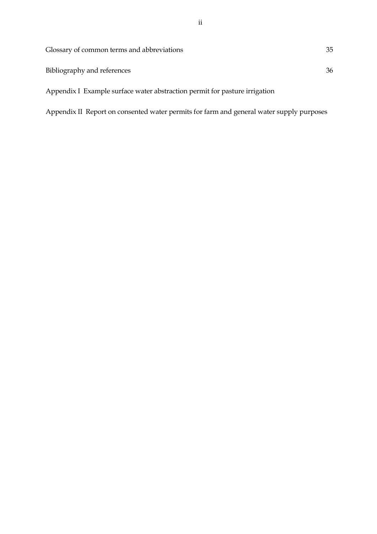| Glossary of common terms and abbreviations | 35 |
|--------------------------------------------|----|
| Bibliography and references                | 36 |

Appendix I Example surface water abstraction permit for pasture irrigation

Appendix II Report on consented water permits for farm and general water supply purposes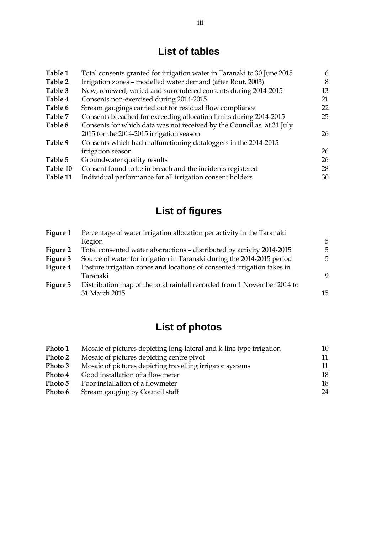# **List of tables**

| Table 1  | Total consents granted for irrigation water in Taranaki to 30 June 2015 | 6  |
|----------|-------------------------------------------------------------------------|----|
| Table 2  | Irrigation zones - modelled water demand (after Rout, 2003)             | 8  |
| Table 3  | New, renewed, varied and surrendered consents during 2014-2015          | 13 |
| Table 4  | Consents non-exercised during 2014-2015                                 | 21 |
| Table 6  | Stream gaugings carried out for residual flow compliance                | 22 |
| Table 7  | Consents breached for exceeding allocation limits during 2014-2015      | 25 |
| Table 8  | Consents for which data was not received by the Council as at 31 July   |    |
|          | 2015 for the 2014-2015 irrigation season                                | 26 |
| Table 9  | Consents which had malfunctioning dataloggers in the 2014-2015          |    |
|          | irrigation season                                                       | 26 |
| Table 5  | Groundwater quality results                                             | 26 |
| Table 10 | Consent found to be in breach and the incidents registered              | 28 |
| Table 11 | Individual performance for all irrigation consent holders               | 30 |

# **List of figures**

| Figure 1 | Percentage of water irrigation allocation per activity in the Taranaki  |    |  |
|----------|-------------------------------------------------------------------------|----|--|
|          | Region                                                                  | 5  |  |
| Figure 2 | Total consented water abstractions - distributed by activity 2014-2015  | 5  |  |
| Figure 3 | Source of water for irrigation in Taranaki during the 2014-2015 period  | .5 |  |
| Figure 4 | Pasture irrigation zones and locations of consented irrigation takes in |    |  |
|          | Taranaki                                                                | 9  |  |
| Figure 5 | Distribution map of the total rainfall recorded from 1 November 2014 to |    |  |
|          | 31 March 2015                                                           | 15 |  |

# **List of photos**

| Photo 1 | Mosaic of pictures depicting long-lateral and k-line type irrigation | 10 |
|---------|----------------------------------------------------------------------|----|
| Photo 2 | Mosaic of pictures depicting centre pivot                            | 11 |
| Photo 3 | Mosaic of pictures depicting travelling irrigator systems            | 11 |
| Photo 4 | Good installation of a flowmeter                                     | 18 |
| Photo 5 | Poor installation of a flowmeter                                     | 18 |
| Photo 6 | Stream gauging by Council staff                                      | 24 |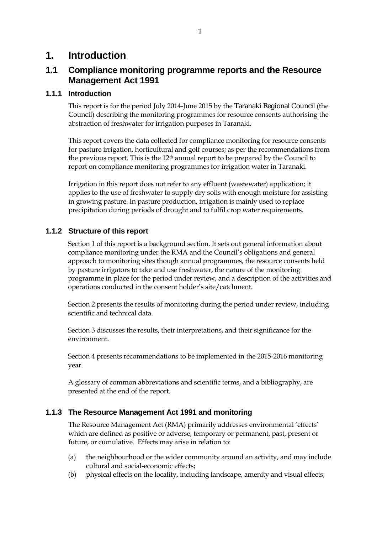### **1. Introduction**

### **1.1 Compliance monitoring programme reports and the Resource Management Act 1991**

#### **1.1.1 Introduction**

This report is for the period July 2014-June 2015 by the Taranaki Regional Council (the Council) describing the monitoring programmes for resource consents authorising the abstraction of freshwater for irrigation purposes in Taranaki.

This report covers the data collected for compliance monitoring for resource consents for pasture irrigation, horticultural and golf courses; as per the recommendations from the previous report. This is the  $12<sup>th</sup>$  annual report to be prepared by the Council to report on compliance monitoring programmes for irrigation water in Taranaki.

Irrigation in this report does not refer to any effluent (wastewater) application; it applies to the use of freshwater to supply dry soils with enough moisture for assisting in growing pasture. In pasture production, irrigation is mainly used to replace precipitation during periods of drought and to fulfil crop water requirements.

#### **1.1.2 Structure of this report**

Section 1 of this report is a background section. It sets out general information about compliance monitoring under the RMA and the Council's obligations and general approach to monitoring sites though annual programmes, the resource consents held by pasture irrigators to take and use freshwater, the nature of the monitoring programme in place for the period under review, and a description of the activities and operations conducted in the consent holder's site/catchment.

Section 2 presents the results of monitoring during the period under review, including scientific and technical data.

Section 3 discusses the results, their interpretations, and their significance for the environment.

Section 4 presents recommendations to be implemented in the 2015-2016 monitoring year.

A glossary of common abbreviations and scientific terms, and a bibliography, are presented at the end of the report.

#### **1.1.3 The Resource Management Act 1991 and monitoring**

The Resource Management Act (RMA) primarily addresses environmental 'effects' which are defined as positive or adverse, temporary or permanent, past, present or future, or cumulative. Effects may arise in relation to:

- (a) the neighbourhood or the wider community around an activity, and may include cultural and social-economic effects;
- (b) physical effects on the locality, including landscape, amenity and visual effects;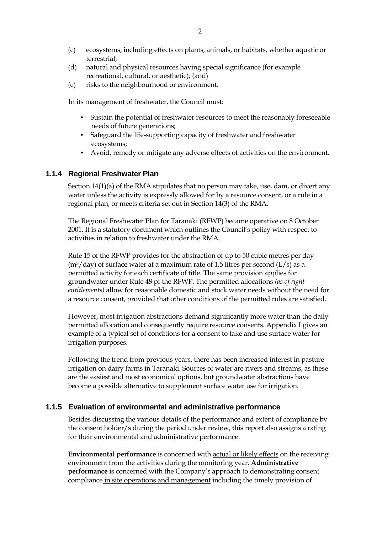- (c) ecosystems, including effects on plants, animals, or habitats, whether aquatic or terrestrial;
- (d) natural and physical resources having special significance (for example recreational, cultural, or aesthetic); (and)
- (e) risks to the neighbourhood or environment.

In its management of freshwater, the Council must:

- Sustain the potential of freshwater resources to meet the reasonably foreseeable needs of future generations;
- Safeguard the life-supporting capacity of freshwater and freshwater ecosystems;
- Avoid, remedy or mitigate any adverse effects of activities on the environment.

#### **1.1.4 Regional Freshwater Plan**

Section 14(1)(a) of the RMA stipulates that no person may take, use, dam, or divert any water unless the activity is expressly allowed for by a resource consent, or a rule in a regional plan, or meets criteria set out in Section 14(3) of the RMA.

The Regional Freshwater Plan for Taranaki (RFWP) became operative on 8 October 2001. It is a statutory document which outlines the Council's policy with respect to activities in relation to freshwater under the RMA.

Rule 15 of the RFWP provides for the abstraction of up to 50 cubic metres per day  $(m<sup>3</sup>/day)$  of surface water at a maximum rate of 1.5 litres per second (L/s) as a permitted activity for each certificate of title. The same provision applies for groundwater under Rule 48 pf the RFWP. The permitted allocations *(as of right entitlements)* allow for reasonable domestic and stock water needs without the need for a resource consent, provided that other conditions of the permitted rules are satisfied.

However, most irrigation abstractions demand significantly more water than the daily permitted allocation and consequently require resource consents. Appendix I gives an example of a typical set of conditions for a consent to take and use surface water for irrigation purposes.

Following the trend from previous years, there has been increased interest in pasture irrigation on dairy farms in Taranaki. Sources of water are rivers and streams, as these are the easiest and most economical options, but groundwater abstractions have become a possible alternative to supplement surface water use for irrigation.

#### **1.1.5 Evaluation of environmental and administrative performance**

Besides discussing the various details of the performance and extent of compliance by the consent holder/s during the period under review, this report also assigns a rating for their environmental and administrative performance.

**Environmental performance** is concerned with actual or likely effects on the receiving environment from the activities during the monitoring year. **Administrative performance** is concerned with the Company's approach to demonstrating consent compliance in site operations and management including the timely provision of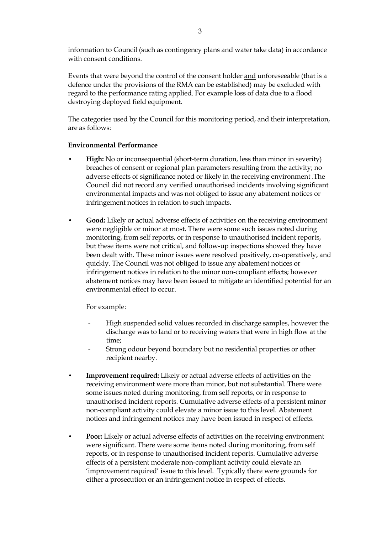information to Council (such as contingency plans and water take data) in accordance with consent conditions.

Events that were beyond the control of the consent holder and unforeseeable (that is a defence under the provisions of the RMA can be established) may be excluded with regard to the performance rating applied. For example loss of data due to a flood destroying deployed field equipment.

The categories used by the Council for this monitoring period, and their interpretation, are as follows:

#### **Environmental Performance**

- **High:** No or inconsequential (short-term duration, less than minor in severity) breaches of consent or regional plan parameters resulting from the activity; no adverse effects of significance noted or likely in the receiving environment .The Council did not record any verified unauthorised incidents involving significant environmental impacts and was not obliged to issue any abatement notices or infringement notices in relation to such impacts.
- **Good:** Likely or actual adverse effects of activities on the receiving environment were negligible or minor at most. There were some such issues noted during monitoring, from self reports, or in response to unauthorised incident reports, but these items were not critical, and follow-up inspections showed they have been dealt with. These minor issues were resolved positively, co-operatively, and quickly. The Council was not obliged to issue any abatement notices or infringement notices in relation to the minor non-compliant effects; however abatement notices may have been issued to mitigate an identified potential for an environmental effect to occur.

For example:

- High suspended solid values recorded in discharge samples, however the discharge was to land or to receiving waters that were in high flow at the time;
- Strong odour beyond boundary but no residential properties or other recipient nearby.
- **Improvement required:** Likely or actual adverse effects of activities on the receiving environment were more than minor, but not substantial. There were some issues noted during monitoring, from self reports, or in response to unauthorised incident reports. Cumulative adverse effects of a persistent minor non-compliant activity could elevate a minor issue to this level. Abatement notices and infringement notices may have been issued in respect of effects.
- **Poor:** Likely or actual adverse effects of activities on the receiving environment were significant. There were some items noted during monitoring, from self reports, or in response to unauthorised incident reports. Cumulative adverse effects of a persistent moderate non-compliant activity could elevate an 'improvement required' issue to this level. Typically there were grounds for either a prosecution or an infringement notice in respect of effects.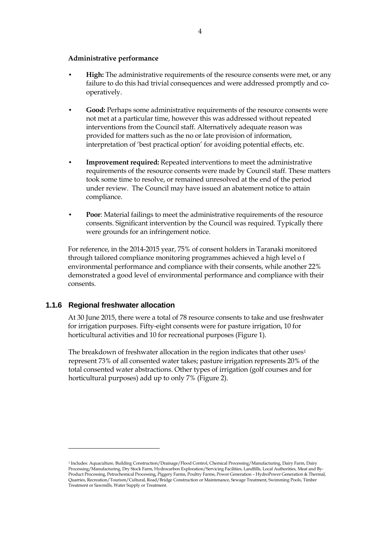#### **Administrative performance**

- **High:** The administrative requirements of the resource consents were met, or any failure to do this had trivial consequences and were addressed promptly and cooperatively.
- **Good:** Perhaps some administrative requirements of the resource consents were not met at a particular time, however this was addressed without repeated interventions from the Council staff. Alternatively adequate reason was provided for matters such as the no or late provision of information, interpretation of 'best practical option' for avoiding potential effects, etc.
- **Improvement required:** Repeated interventions to meet the administrative requirements of the resource consents were made by Council staff. These matters took some time to resolve, or remained unresolved at the end of the period under review. The Council may have issued an abatement notice to attain compliance.
- **Poor**: Material failings to meet the administrative requirements of the resource consents. Significant intervention by the Council was required. Typically there were grounds for an infringement notice.

For reference, in the 2014-2015 year, 75% of consent holders in Taranaki monitored through tailored compliance monitoring programmes achieved a high level o f environmental performance and compliance with their consents, while another 22% demonstrated a good level of environmental performance and compliance with their consents.

#### **1.1.6 Regional freshwater allocation**

 $\overline{a}$ 

At 30 June 2015, there were a total of 78 resource consents to take and use freshwater for irrigation purposes. Fifty-eight consents were for pasture irrigation, 10 for horticultural activities and 10 for recreational purposes (Figure 1).

The breakdown of freshwater allocation in the region indicates that other uses<sup>1</sup> represent 73% of all consented water takes; pasture irrigation represents 20% of the total consented water abstractions. Other types of irrigation (golf courses and for horticultural purposes) add up to only 7% (Figure 2).

<sup>1</sup> Includes: Aquaculture, Building Construction/Drainage/Flood Control, Chemical Processing/Manufacturing, Dairy Farm, Dairy Processing/Manufacturing, Dry Stock Farm, Hydrocarbon Exploration/Servicing Facilities, Landfills, Local Authorities, Meat and By-Product Processing, Petrochemical Processing, Piggery Farms, Poultry Farms, Power Generation – HydroPower Generation & Thermal, Quarries, Recreation/Tourism/Cultural, Road/Bridge Construction or Maintenance, Sewage Treatment, Swimming Pools, Timber Treatment or Sawmills, Water Supply or Treatment.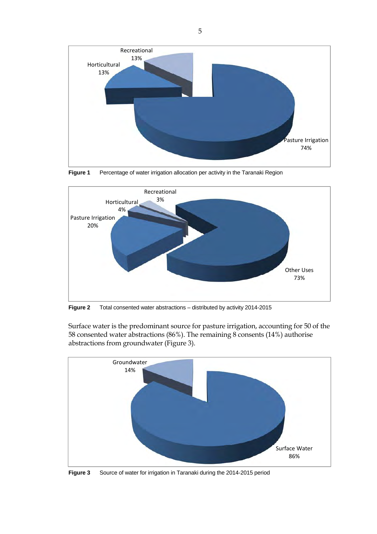

**Figure 1** Percentage of water irrigation allocation per activity in the Taranaki Region



**Figure 2** Total consented water abstractions – distributed by activity 2014-2015

Surface water is the predominant source for pasture irrigation, accounting for 50 of the 58 consented water abstractions (86%). The remaining 8 consents (14%) authorise abstractions from groundwater (Figure 3).



**Figure 3** Source of water for irrigation in Taranaki during the 2014-2015 period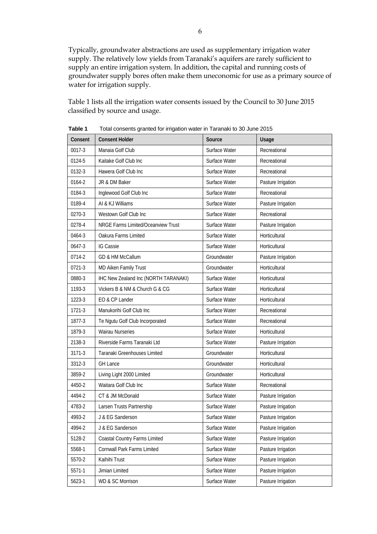Typically, groundwater abstractions are used as supplementary irrigation water supply. The relatively low yields from Taranaki's aquifers are rarely sufficient to supply an entire irrigation system. In addition, the capital and running costs of groundwater supply bores often make them uneconomic for use as a primary source of water for irrigation supply.

Table 1 lists all the irrigation water consents issued by the Council to 30 June 2015 classified by source and usage.

| i dibit i | Tutal consents granted for imgation water in Taranaki to 50 June 2015 |               |                    |
|-----------|-----------------------------------------------------------------------|---------------|--------------------|
| Consent   | <b>Consent Holder</b>                                                 | Source        | Usage              |
| 0017-3    | Manaia Golf Club                                                      | Surface Water | Recreational       |
| 0124-5    | Kaitake Golf Club Inc                                                 | Surface Water | Recreational       |
| 0132-3    | Hawera Golf Club Inc                                                  | Surface Water | Recreational       |
| 0164-2    | JR & DM Baker                                                         | Surface Water | Pasture Irrigation |
| 0184-3    | Inglewood Golf Club Inc                                               | Surface Water | Recreational       |
| 0189-4    | AI & KJ Williams                                                      | Surface Water | Pasture Irrigation |
| 0270-3    | Westown Golf Club Inc                                                 | Surface Water | Recreational       |
| 0278-4    | NRGE Farms Limited/Oceanview Trust                                    | Surface Water | Pasture Irrigation |
| 0464-3    | Oakura Farms Limited                                                  | Surface Water | Horticultural      |
| 0647-3    | <b>IG Cassie</b>                                                      | Surface Water | Horticultural      |
| 0714-2    | GD & HM McCallum                                                      | Groundwater   | Pasture Irrigation |
| 0721-3    | MD Aiken Family Trust                                                 | Groundwater   | Horticultural      |
| 0880-3    | IHC New Zealand Inc (NORTH TARANAKI)                                  | Surface Water | Horticultural      |
| 1193-3    | Vickers B & NM & Church G & CG                                        | Surface Water | Horticultural      |
| 1223-3    | EO & CP Lander                                                        | Surface Water | Horticultural      |
| 1721-3    | Manukorihi Golf Club Inc                                              | Surface Water | Recreational       |
| 1877-3    | Te Ngutu Golf Club Incorporated                                       | Surface Water | Recreational       |
| 1879-3    | <b>Wairau Nurseries</b>                                               | Surface Water | Horticultural      |
| 2138-3    | Riverside Farms Taranaki Ltd                                          | Surface Water | Pasture Irrigation |
| 3171-3    | Taranaki Greenhouses Limited                                          | Groundwater   | Horticultural      |
| 3312-3    | <b>GH Lance</b>                                                       | Groundwater   | Horticultural      |
| 3859-2    | Living Light 2000 Limited                                             | Groundwater   | Horticultural      |
| 4450-2    | Waitara Golf Club Inc                                                 | Surface Water | Recreational       |
| 4494-2    | CT & JM McDonald                                                      | Surface Water | Pasture Irrigation |
| 4783-2    | Larsen Trusts Partnership                                             | Surface Water | Pasture Irrigation |
| 4993-2    | J & EG Sanderson                                                      | Surface Water | Pasture Irrigation |
| 4994-2    | J & EG Sanderson                                                      | Surface Water | Pasture Irrigation |
| 5128-2    | Coastal Country Farms Limited                                         | Surface Water | Pasture Irrigation |
| 5568-1    | Cornwall Park Farms Limited                                           | Surface Water | Pasture Irrigation |
| 5570-2    | Kaihihi Trust                                                         | Surface Water | Pasture Irrigation |
| 5571-1    | Jimian Limited                                                        | Surface Water | Pasture Irrigation |
| 5623-1    | WD & SC Morrison                                                      | Surface Water | Pasture Irrigation |

**Table 1** Total consents granted for irrigation water in Taranaki to 30 June 2015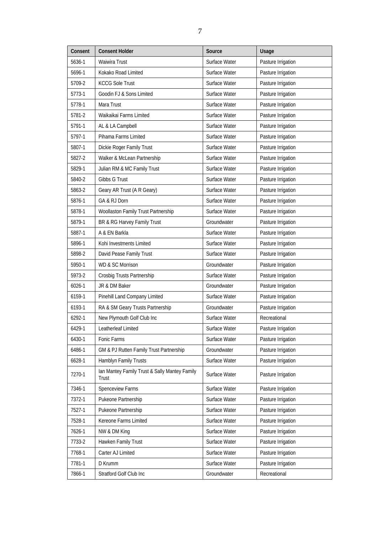| Consent | <b>Consent Holder</b>                                  | Source        | Usage              |
|---------|--------------------------------------------------------|---------------|--------------------|
| 5636-1  | Waiwira Trust                                          | Surface Water | Pasture Irrigation |
| 5696-1  | Kokako Road Limited                                    | Surface Water | Pasture Irrigation |
| 5709-2  | <b>KCCG Sole Trust</b>                                 | Surface Water | Pasture Irrigation |
| 5773-1  | Goodin FJ & Sons Limited                               | Surface Water | Pasture Irrigation |
| 5778-1  | Mara Trust                                             | Surface Water | Pasture Irrigation |
| 5781-2  | Waikaikai Farms Limited                                | Surface Water | Pasture Irrigation |
| 5791-1  | AL & LA Campbell                                       | Surface Water | Pasture Irrigation |
| 5797-1  | Pihama Farms Limited                                   | Surface Water | Pasture Irrigation |
| 5807-1  | Dickie Roger Family Trust                              | Surface Water | Pasture Irrigation |
| 5827-2  | Walker & McLean Partnership                            | Surface Water | Pasture Irrigation |
| 5829-1  | Julian RM & MC Family Trust                            | Surface Water | Pasture Irrigation |
| 5840-2  | Gibbs G Trust                                          | Surface Water | Pasture Irrigation |
| 5863-2  | Geary AR Trust (A R Geary)                             | Surface Water | Pasture Irrigation |
| 5876-1  | GA & RJ Dorn                                           | Surface Water | Pasture Irrigation |
| 5878-1  | Woollaston Family Trust Partnership                    | Surface Water | Pasture Irrigation |
| 5879-1  | BR & RG Harvey Family Trust                            | Groundwater   | Pasture Irrigation |
| 5887-1  | A & EN Barkla                                          | Surface Water | Pasture Irrigation |
| 5896-1  | Kohi Investments Limited                               | Surface Water | Pasture Irrigation |
| 5898-2  | David Pease Family Trust                               | Surface Water | Pasture Irrigation |
| 5950-1  | WD & SC Morrison                                       | Groundwater   | Pasture Irrigation |
| 5973-2  | Crosbig Trusts Partnership                             | Surface Water | Pasture Irrigation |
| 6026-1  | JR & DM Baker                                          | Groundwater   | Pasture Irrigation |
| 6159-1  | Pinehill Land Company Limited                          | Surface Water | Pasture Irrigation |
| 6193-1  | RA & SM Geary Trusts Partnership                       | Groundwater   | Pasture Irrigation |
| 6292-1  | New Plymouth Golf Club Inc                             | Surface Water | Recreational       |
| 6429-1  | Leatherleaf Limited                                    | Surface Water | Pasture Irrigation |
| 6430-1  | Fonic Farms                                            | Surface Water | Pasture Irrigation |
| 6486-1  | GM & PJ Rutten Family Trust Partnership                | Groundwater   | Pasture Irrigation |
| 6628-1  | Hamblyn Family Trusts                                  | Surface Water | Pasture Irrigation |
| 7270-1  | Ian Mantey Family Trust & Sally Mantey Family<br>Trust | Surface Water | Pasture Irrigation |
| 7346-1  | Spenceview Farms                                       | Surface Water | Pasture Irrigation |
| 7372-1  | Pukeone Partnership                                    | Surface Water | Pasture Irrigation |
| 7527-1  | Pukeone Partnership                                    | Surface Water | Pasture Irrigation |
| 7528-1  | Kereone Farms Limited                                  | Surface Water | Pasture Irrigation |
| 7626-1  | NW & DM King                                           | Surface Water | Pasture Irrigation |
| 7733-2  | Hawken Family Trust                                    | Surface Water | Pasture Irrigation |
| 7768-1  | Carter AJ Limited                                      | Surface Water | Pasture Irrigation |
| 7781-1  | D Krumm                                                | Surface Water | Pasture Irrigation |
| 7866-1  | Stratford Golf Club Inc                                | Groundwater   | Recreational       |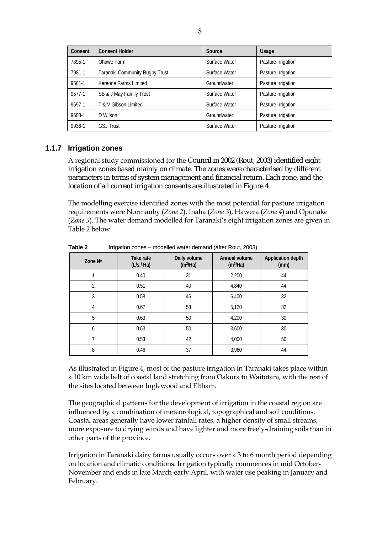| Consent | <b>Consent Holder</b>          | Source        | <b>Usage</b>       |
|---------|--------------------------------|---------------|--------------------|
| 7895-1  | Ohawe Farm                     | Surface Water | Pasture Irrigation |
| 7981-1  | Taranaki Community Rugby Trust | Surface Water | Pasture Irrigation |
| 9561-1  | Kereone Farms Limited          | Groundwater   | Pasture Irrigation |
| 9577-1  | SB & J May Family Trust        | Surface Water | Pasture Irrigation |
| 9597-1  | T & V Gibson Limited           | Surface Water | Pasture Irrigation |
| 9608-1  | D Wilson                       | Groundwater   | Pasture Irrigation |
| 9936-1  | <b>GSJ Trust</b>               | Surface Water | Pasture Irrigation |

#### **1.1.7 Irrigation zones**

A regional study commissioned for the Council in 2002 (Rout, 2003) identified eight irrigation zones based mainly on climate. The zones were characterised by different parameters in terms of system management and financial return. Each zone, and the location of all current irrigation consents are illustrated in Figure 4.

The modelling exercise identified zones with the most potential for pasture irrigation requirements were Normanby (*Zone 2*), Inaha (*Zone 3*), Hawera (*Zone 4*) and Opunake (*Zone 5*). The water demand modelled for Taranaki's eight irrigation zones are given in Table 2 below.

| Zone $No$      | Take rate<br>(L/s / Ha) | Daily volume<br>(m <sup>3</sup> /Ha) | Annual volume<br>(m <sup>3</sup> /Ha) | <b>Application depth</b><br>(mm) |
|----------------|-------------------------|--------------------------------------|---------------------------------------|----------------------------------|
|                | 0.40                    | 31                                   | 2,200                                 | 44                               |
| $\overline{2}$ | 0.51                    | 40                                   | 4,840                                 | 44                               |
| 3              | 0.58                    | 46                                   | 6,400                                 | 32                               |
| 4              | 0.67                    | 53                                   | 5,120                                 | 32                               |
| 5              | 0.63                    | 50                                   | 4,200                                 | 30                               |
| 6              | 0.63                    | 50                                   | 3,600                                 | 30                               |
| 7              | 0.53                    | 42                                   | 4,000                                 | 50                               |
| 8              | 0.46                    | 37                                   | 3,960                                 | 44                               |

**Table 2** Irrigation zones – modelled water demand (after Rout, 2003)

As illustrated in Figure 4, most of the pasture irrigation in Taranaki takes place within a 10 km wide belt of coastal land stretching from Oakura to Waitotara, with the rest of the sites located between Inglewood and Eltham.

The geographical patterns for the development of irrigation in the coastal region are influenced by a combination of meteorological, topographical and soil conditions. Coastal areas generally have lower rainfall rates, a higher density of small streams, more exposure to drying winds and have lighter and more freely-draining soils than in other parts of the province.

Irrigation in Taranaki dairy farms usually occurs over a 3 to 6 month period depending on location and climatic conditions. Irrigation typically commences in mid October-November and ends in late March-early April, with water use peaking in January and February.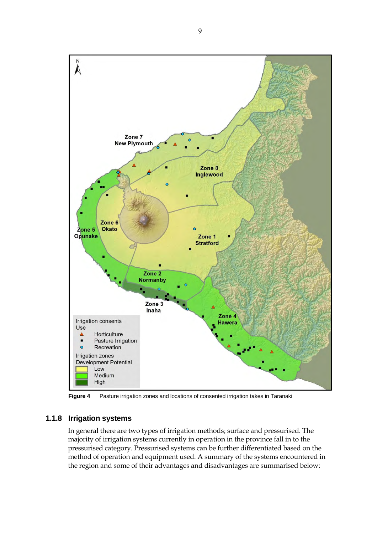

**Figure 4** Pasture irrigation zones and locations of consented irrigation takes in Taranaki

#### **1.1.8 Irrigation systems**

In general there are two types of irrigation methods; surface and pressurised. The majority of irrigation systems currently in operation in the province fall in to the pressurised category. Pressurised systems can be further differentiated based on the method of operation and equipment used. A summary of the systems encountered in the region and some of their advantages and disadvantages are summarised below: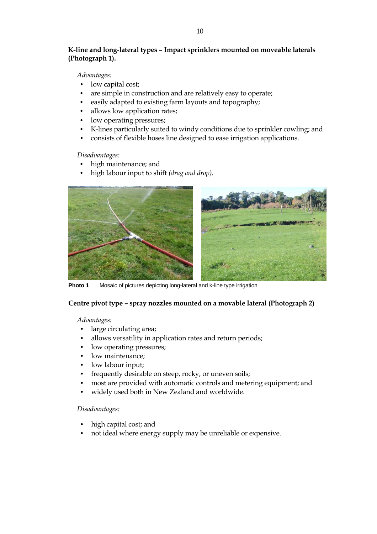#### **K-line and long-lateral types – Impact sprinklers mounted on moveable laterals (Photograph 1).**

#### *Advantages:*

- low capital cost;
- are simple in construction and are relatively easy to operate;
- easily adapted to existing farm layouts and topography;
- allows low application rates;
- low operating pressures;
- K-lines particularly suited to windy conditions due to sprinkler cowling; and
- consists of flexible hoses line designed to ease irrigation applications.

#### *Disadvantages:*

- high maintenance; and
- high labour input to shift *(drag and drop).*



**Photo 1** Mosaic of pictures depicting long-lateral and k-line type irrigation

#### **Centre pivot type – spray nozzles mounted on a movable lateral (Photograph 2)**

#### *Advantages:*

- large circulating area;
- allows versatility in application rates and return periods;
- low operating pressures;
- low maintenance;
- low labour input;
- frequently desirable on steep, rocky, or uneven soils;
- most are provided with automatic controls and metering equipment; and
- widely used both in New Zealand and worldwide.

#### *Disadvantages:*

- high capital cost; and
- not ideal where energy supply may be unreliable or expensive.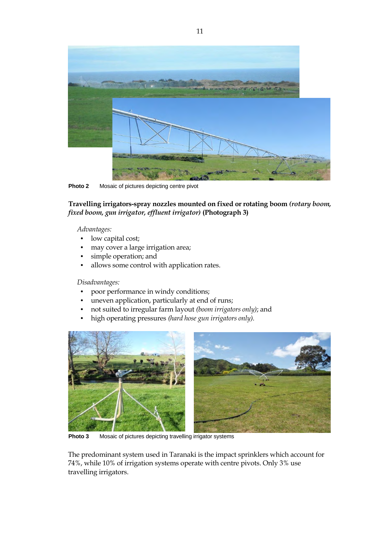

**Photo 2** Mosaic of pictures depicting centre pivot

**Travelling irrigators-spray nozzles mounted on fixed or rotating boom** *(rotary boom, fixed boom, gun irrigator, effluent irrigator)* **(Photograph 3)** 

*Advantages:*

- low capital cost;
- may cover a large irrigation area;
- simple operation; and
- allows some control with application rates.

*Disadvantages:* 

- poor performance in windy conditions;
- uneven application, particularly at end of runs;
- not suited to irregular farm layout *(boom irrigators only)*; and
- high operating pressures *(hard hose gun irrigators only).*



**Photo 3** Mosaic of pictures depicting travelling irrigator systems

The predominant system used in Taranaki is the impact sprinklers which account for 74%, while 10% of irrigation systems operate with centre pivots. Only 3% use travelling irrigators.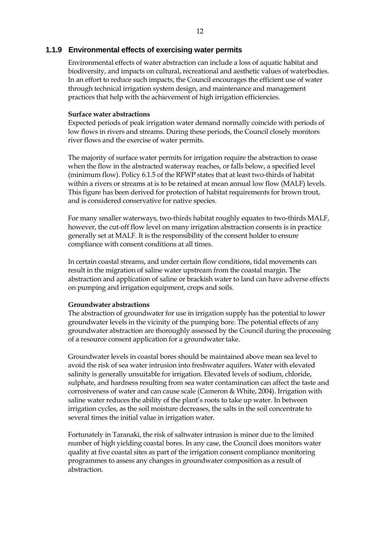#### **1.1.9 Environmental effects of exercising water permits**

Environmental effects of water abstraction can include a loss of aquatic habitat and biodiversity, and impacts on cultural, recreational and aesthetic values of waterbodies. In an effort to reduce such impacts, the Council encourages the efficient use of water through technical irrigation system design, and maintenance and management practices that help with the achievement of high irrigation efficiencies.

#### **Surface water abstractions**

Expected periods of peak irrigation water demand normally coincide with periods of low flows in rivers and streams. During these periods, the Council closely monitors river flows and the exercise of water permits.

The majority of surface water permits for irrigation require the abstraction to cease when the flow in the abstracted waterway reaches, or falls below, a specified level (minimum flow). Policy 6.1.5 of the RFWP states that at least two-thirds of habitat within a rivers or streams at is to be retained at mean annual low flow (MALF) levels. This figure has been derived for protection of habitat requirements for brown trout, and is considered conservative for native species.

For many smaller waterways, two-thirds habitat roughly equates to two-thirds MALF, however, the cut-off flow level on many irrigation abstraction consents is in practice generally set at MALF. It is the responsibility of the consent holder to ensure compliance with consent conditions at all times.

In certain coastal streams, and under certain flow conditions, tidal movements can result in the migration of saline water upstream from the coastal margin. The abstraction and application of saline or brackish water to land can have adverse effects on pumping and irrigation equipment, crops and soils.

#### **Groundwater abstractions**

The abstraction of groundwater for use in irrigation supply has the potential to lower groundwater levels in the vicinity of the pumping bore. The potential effects of any groundwater abstraction are thoroughly assessed by the Council during the processing of a resource consent application for a groundwater take.

Groundwater levels in coastal bores should be maintained above mean sea level to avoid the risk of sea water intrusion into freshwater aquifers. Water with elevated salinity is generally unsuitable for irrigation. Elevated levels of sodium, chloride, sulphate, and hardness resulting from sea water contamination can affect the taste and corrosiveness of water and can cause scale (Cameron & White, 2004). Irrigation with saline water reduces the ability of the plant's roots to take up water. In between irrigation cycles, as the soil moisture decreases, the salts in the soil concentrate to several times the initial value in irrigation water.

Fortunately in Taranaki, the risk of saltwater intrusion is minor due to the limited number of high yielding coastal bores. In any case, the Council does monitors water quality at five coastal sites as part of the irrigation consent compliance monitoring programmes to assess any changes in groundwater composition as a result of abstraction.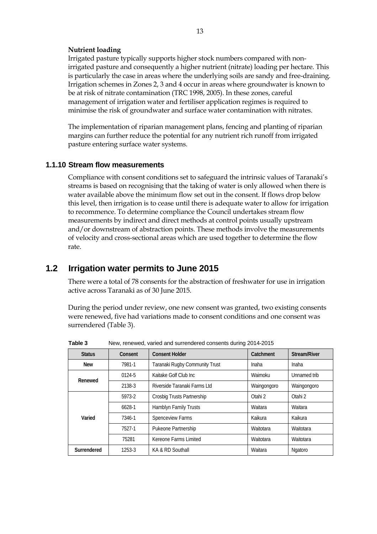#### **Nutrient loading**

Irrigated pasture typically supports higher stock numbers compared with nonirrigated pasture and consequently a higher nutrient (nitrate) loading per hectare. This is particularly the case in areas where the underlying soils are sandy and free-draining. Irrigation schemes in Zones 2, 3 and 4 occur in areas where groundwater is known to be at risk of nitrate contamination (TRC 1998, 2005). In these zones, careful management of irrigation water and fertiliser application regimes is required to minimise the risk of groundwater and surface water contamination with nitrates.

The implementation of riparian management plans, fencing and planting of riparian margins can further reduce the potential for any nutrient rich runoff from irrigated pasture entering surface water systems.

#### **1.1.10 Stream flow measurements**

Compliance with consent conditions set to safeguard the intrinsic values of Taranaki's streams is based on recognising that the taking of water is only allowed when there is water available above the minimum flow set out in the consent. If flows drop below this level, then irrigation is to cease until there is adequate water to allow for irrigation to recommence. To determine compliance the Council undertakes stream flow measurements by indirect and direct methods at control points usually upstream and/or downstream of abstraction points. These methods involve the measurements of velocity and cross-sectional areas which are used together to determine the flow rate.

### **1.2 Irrigation water permits to June 2015**

There were a total of 78 consents for the abstraction of freshwater for use in irrigation active across Taranaki as of 30 June 2015.

During the period under review, one new consent was granted, two existing consents were renewed, five had variations made to consent conditions and one consent was surrendered (Table 3).

| <b>Status</b> | Consent | <b>Consent Holder</b>          | Catchment   | Stream/River |
|---------------|---------|--------------------------------|-------------|--------------|
| <b>New</b>    | 7981-1  | Taranaki Rugby Community Trust | Inaha       | Inaha        |
| Renewed       | 0124-5  | Kaitake Golf Club Inc          | Waimoku     | Unnamed trib |
|               | 2138-3  | Riverside Taranaki Farms Ltd   | Waingongoro | Waingongoro  |
|               | 5973-2  | Crosbig Trusts Partnership     | Otahi 2     | Otahi 2      |
|               | 6628-1  | <b>Hamblyn Family Trusts</b>   | Waitara     | Waitara      |
| Varied        | 7346-1  | Spenceview Farms               | Kaikura     | Kaikura      |
|               | 7527-1  | Pukeone Partnership            | Waitotara   | Waitotara    |
|               | 75281   | Kereone Farms Limited          | Waitotara   | Waitotara    |
| Surrendered   | 1253-3  | KA & RD Southall               | Waitara     | Ngatoro      |

**Table 3** New, renewed, varied and surrendered consents during 2014-2015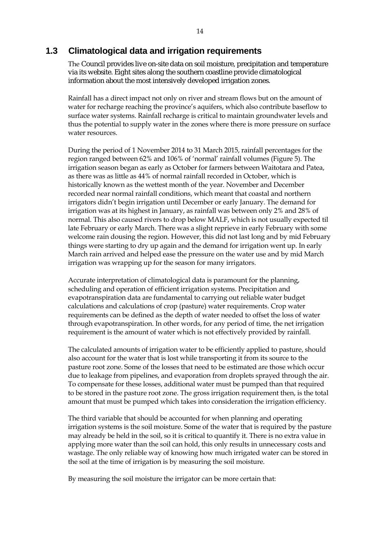#### **1.3 Climatological data and irrigation requirements**

The Council provides live on-site data on soil moisture, precipitation and temperature via its website. Eight sites along the southern coastline provide climatological information about the most intensively developed irrigation zones.

Rainfall has a direct impact not only on river and stream flows but on the amount of water for recharge reaching the province's aquifers, which also contribute baseflow to surface water systems. Rainfall recharge is critical to maintain groundwater levels and thus the potential to supply water in the zones where there is more pressure on surface water resources.

During the period of 1 November 2014 to 31 March 2015, rainfall percentages for the region ranged between 62% and 106% of 'normal' rainfall volumes (Figure 5). The irrigation season began as early as October for farmers between Waitotara and Patea, as there was as little as 44% of normal rainfall recorded in October, which is historically known as the wettest month of the year. November and December recorded near normal rainfall conditions, which meant that coastal and northern irrigators didn't begin irrigation until December or early January. The demand for irrigation was at its highest in January, as rainfall was between only 2% and 28% of normal. This also caused rivers to drop below MALF, which is not usually expected til late February or early March. There was a slight reprieve in early February with some welcome rain dousing the region. However, this did not last long and by mid February things were starting to dry up again and the demand for irrigation went up. In early March rain arrived and helped ease the pressure on the water use and by mid March irrigation was wrapping up for the season for many irrigators.

Accurate interpretation of climatological data is paramount for the planning, scheduling and operation of efficient irrigation systems. Precipitation and evapotranspiration data are fundamental to carrying out reliable water budget calculations and calculations of crop (pasture) water requirements. Crop water requirements can be defined as the depth of water needed to offset the loss of water through evapotranspiration. In other words, for any period of time, the net irrigation requirement is the amount of water which is not effectively provided by rainfall.

The calculated amounts of irrigation water to be efficiently applied to pasture, should also account for the water that is lost while transporting it from its source to the pasture root zone. Some of the losses that need to be estimated are those which occur due to leakage from pipelines, and evaporation from droplets sprayed through the air. To compensate for these losses, additional water must be pumped than that required to be stored in the pasture root zone. The gross irrigation requirement then, is the total amount that must be pumped which takes into consideration the irrigation efficiency.

The third variable that should be accounted for when planning and operating irrigation systems is the soil moisture. Some of the water that is required by the pasture may already be held in the soil, so it is critical to quantify it. There is no extra value in applying more water than the soil can hold, this only results in unnecessary costs and wastage. The only reliable way of knowing how much irrigated water can be stored in the soil at the time of irrigation is by measuring the soil moisture.

By measuring the soil moisture the irrigator can be more certain that: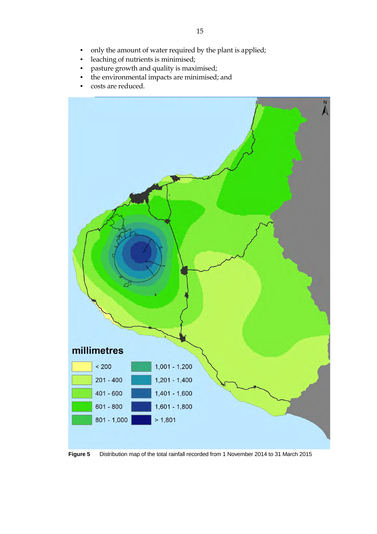- only the amount of water required by the plant is applied;
- leaching of nutrients is minimised;
- pasture growth and quality is maximised;
- the environmental impacts are minimised; and
- costs are reduced.



**Figure 5** Distribution map of the total rainfall recorded from 1 November 2014 to 31 March 2015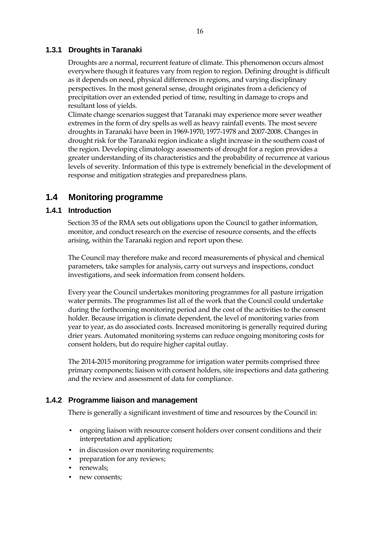#### **1.3.1 Droughts in Taranaki**

Droughts are a normal, recurrent feature of climate. This phenomenon occurs almost everywhere though it features vary from region to region. Defining drought is difficult as it depends on need, physical differences in regions, and varying disciplinary perspectives. In the most general sense, drought originates from a deficiency of precipitation over an extended period of time, resulting in damage to crops and resultant loss of yields.

Climate change scenarios suggest that Taranaki may experience more sever weather extremes in the form of dry spells as well as heavy rainfall events. The most severe droughts in Taranaki have been in 1969-1970, 1977-1978 and 2007-2008. Changes in drought risk for the Taranaki region indicate a slight increase in the southern coast of the region. Developing climatology assessments of drought for a region provides a greater understanding of its characteristics and the probability of recurrence at various levels of severity. Information of this type is extremely beneficial in the development of response and mitigation strategies and preparedness plans.

### **1.4 Monitoring programme**

#### **1.4.1 Introduction**

Section 35 of the RMA sets out obligations upon the Council to gather information, monitor, and conduct research on the exercise of resource consents, and the effects arising, within the Taranaki region and report upon these.

The Council may therefore make and record measurements of physical and chemical parameters, take samples for analysis, carry out surveys and inspections, conduct investigations, and seek information from consent holders.

Every year the Council undertakes monitoring programmes for all pasture irrigation water permits. The programmes list all of the work that the Council could undertake during the forthcoming monitoring period and the cost of the activities to the consent holder. Because irrigation is climate dependent, the level of monitoring varies from year to year, as do associated costs. Increased monitoring is generally required during drier years. Automated monitoring systems can reduce ongoing monitoring costs for consent holders, but do require higher capital outlay.

The 2014-2015 monitoring programme for irrigation water permits comprised three primary components; liaison with consent holders, site inspections and data gathering and the review and assessment of data for compliance.

#### **1.4.2 Programme liaison and management**

There is generally a significant investment of time and resources by the Council in:

- ongoing liaison with resource consent holders over consent conditions and their interpretation and application;
- in discussion over monitoring requirements;
- preparation for any reviews;
- renewals;
- new consents;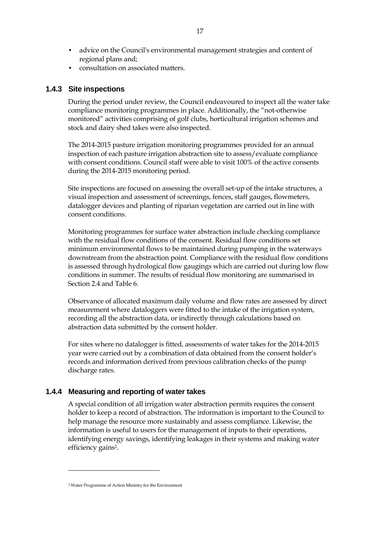- advice on the Council's environmental management strategies and content of regional plans and;
- consultation on associated matters.

#### **1.4.3 Site inspections**

During the period under review, the Council endeavoured to inspect all the water take compliance monitoring programmes in place. Additionally, the "not-otherwise monitored" activities comprising of golf clubs, horticultural irrigation schemes and stock and dairy shed takes were also inspected.

The 2014-2015 pasture irrigation monitoring programmes provided for an annual inspection of each pasture irrigation abstraction site to assess/evaluate compliance with consent conditions. Council staff were able to visit 100% of the active consents during the 2014-2015 monitoring period.

Site inspections are focused on assessing the overall set-up of the intake structures, a visual inspection and assessment of screenings, fences, staff gauges, flowmeters, datalogger devices and planting of riparian vegetation are carried out in line with consent conditions.

Monitoring programmes for surface water abstraction include checking compliance with the residual flow conditions of the consent. Residual flow conditions set minimum environmental flows to be maintained during pumping in the waterways downstream from the abstraction point. Compliance with the residual flow conditions is assessed through hydrological flow gaugings which are carried out during low flow conditions in summer. The results of residual flow monitoring are summarised in Section 2.4 and Table 6.

Observance of allocated maximum daily volume and flow rates are assessed by direct measurement where dataloggers were fitted to the intake of the irrigation system, recording all the abstraction data, or indirectly through calculations based on abstraction data submitted by the consent holder.

For sites where no datalogger is fitted, assessments of water takes for the 2014-2015 year were carried out by a combination of data obtained from the consent holder's records and information derived from previous calibration checks of the pump discharge rates.

#### **1.4.4 Measuring and reporting of water takes**

A special condition of all irrigation water abstraction permits requires the consent holder to keep a record of abstraction. The information is important to the Council to help manage the resource more sustainably and assess compliance. Likewise, the information is useful to users for the management of inputs to their operations, identifying energy savings, identifying leakages in their systems and making water efficiency gains<sup>2</sup>.

 $\overline{a}$ 

<sup>2</sup> Water Programme of Action Ministry for the Environment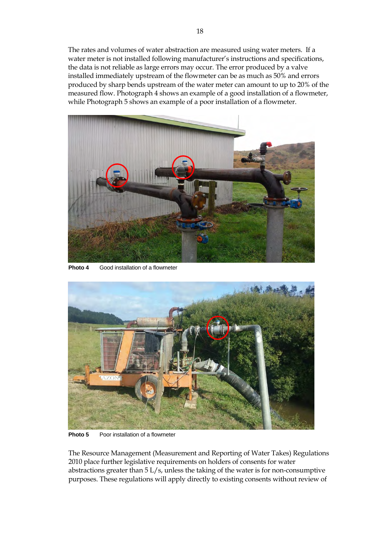The rates and volumes of water abstraction are measured using water meters. If a water meter is not installed following manufacturer's instructions and specifications, the data is not reliable as large errors may occur. The error produced by a valve installed immediately upstream of the flowmeter can be as much as 50% and errors produced by sharp bends upstream of the water meter can amount to up to 20% of the measured flow. Photograph 4 shows an example of a good installation of a flowmeter, while Photograph 5 shows an example of a poor installation of a flowmeter.



**Photo 4** Good installation of a flowmeter



**Photo 5** Poor installation of a flowmeter

The Resource Management (Measurement and Reporting of Water Takes) Regulations 2010 place further legislative requirements on holders of consents for water abstractions greater than 5 L/s, unless the taking of the water is for non-consumptive purposes. These regulations will apply directly to existing consents without review of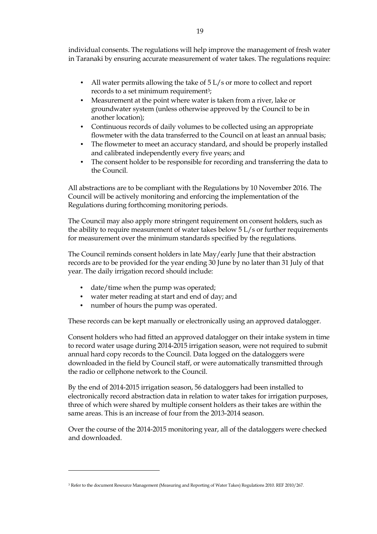individual consents. The regulations will help improve the management of fresh water in Taranaki by ensuring accurate measurement of water takes. The regulations require:

- All water permits allowing the take of 5 L/s or more to collect and report records to a set minimum requirement<sup>3</sup>;
- Measurement at the point where water is taken from a river, lake or groundwater system (unless otherwise approved by the Council to be in another location);
- Continuous records of daily volumes to be collected using an appropriate flowmeter with the data transferred to the Council on at least an annual basis;
- The flowmeter to meet an accuracy standard, and should be properly installed and calibrated independently every five years; and
- The consent holder to be responsible for recording and transferring the data to the Council.

All abstractions are to be compliant with the Regulations by 10 November 2016. The Council will be actively monitoring and enforcing the implementation of the Regulations during forthcoming monitoring periods.

The Council may also apply more stringent requirement on consent holders, such as the ability to require measurement of water takes below 5 L/s or further requirements for measurement over the minimum standards specified by the regulations.

The Council reminds consent holders in late May/early June that their abstraction records are to be provided for the year ending 30 June by no later than 31 July of that year. The daily irrigation record should include:

- date/time when the pump was operated;
- water meter reading at start and end of day; and
- number of hours the pump was operated.

 $\overline{a}$ 

These records can be kept manually or electronically using an approved datalogger.

Consent holders who had fitted an approved datalogger on their intake system in time to record water usage during 2014-2015 irrigation season, were not required to submit annual hard copy records to the Council. Data logged on the dataloggers were downloaded in the field by Council staff, or were automatically transmitted through the radio or cellphone network to the Council.

By the end of 2014-2015 irrigation season, 56 dataloggers had been installed to electronically record abstraction data in relation to water takes for irrigation purposes, three of which were shared by multiple consent holders as their takes are within the same areas. This is an increase of four from the 2013-2014 season.

Over the course of the 2014-2015 monitoring year, all of the dataloggers were checked and downloaded.

<sup>3</sup> Refer to the document Resource Management (Measuring and Reporting of Water Takes) Regulations 2010. REF 2010/267.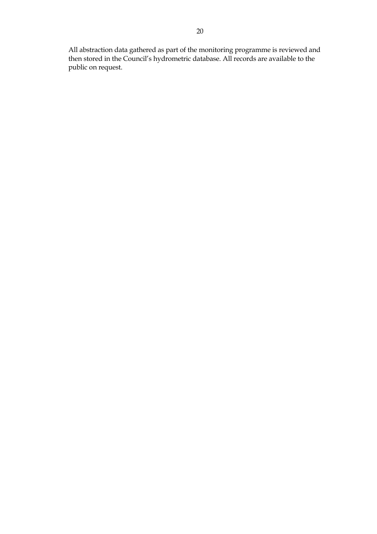All abstraction data gathered as part of the monitoring programme is reviewed and then stored in the Council's hydrometric database. All records are available to the public on request.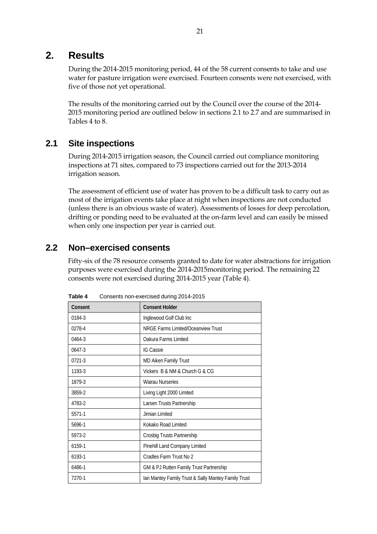### **2. Results**

During the 2014-2015 monitoring period, 44 of the 58 current consents to take and use water for pasture irrigation were exercised. Fourteen consents were not exercised, with five of those not yet operational.

The results of the monitoring carried out by the Council over the course of the 2014- 2015 monitoring period are outlined below in sections 2.1 to 2.7 and are summarised in Tables 4 to 8.

### **2.1 Site inspections**

During 2014-2015 irrigation season, the Council carried out compliance monitoring inspections at 71 sites, compared to 73 inspections carried out for the 2013-2014 irrigation season.

The assessment of efficient use of water has proven to be a difficult task to carry out as most of the irrigation events take place at night when inspections are not conducted (unless there is an obvious waste of water). Assessments of losses for deep percolation, drifting or ponding need to be evaluated at the on-farm level and can easily be missed when only one inspection per year is carried out.

### **2.2 Non–exercised consents**

Fifty-six of the 78 resource consents granted to date for water abstractions for irrigation purposes were exercised during the 2014-2015monitoring period. The remaining 22 consents were not exercised during 2014-2015 year (Table 4).

| Consent    | <b>Consent Holder</b>                               |
|------------|-----------------------------------------------------|
| 0184-3     | Inglewood Golf Club Inc                             |
| 0278-4     | NRGE Farms Limited/Oceanview Trust                  |
| 0464-3     | Oakura Farms Limited                                |
| $0647 - 3$ | <b>IG Cassie</b>                                    |
| 0721-3     | MD Aiken Family Trust                               |
| 1193-3     | Vickers B & NM & Church G & CG                      |
| 1879-3     | <b>Wairau Nurseries</b>                             |
| 3859-2     | Living Light 2000 Limited                           |
| 4783-2     | Larsen Trusts Partnership                           |
| 5571-1     | Jimian Limited                                      |
| 5696-1     | Kokako Road Limited                                 |
| 5973-2     | Crosbig Trusts Partnership                          |
| 6159-1     | Pinehill Land Company Limited                       |
| 6193-1     | Cradles Farm Trust No 2                             |
| 6486-1     | GM & PJ Rutten Family Trust Partnership             |
| 7270-1     | Ian Mantey Family Trust & Sally Mantey Family Trust |

**Table 4** Consents non-exercised during 2014-2015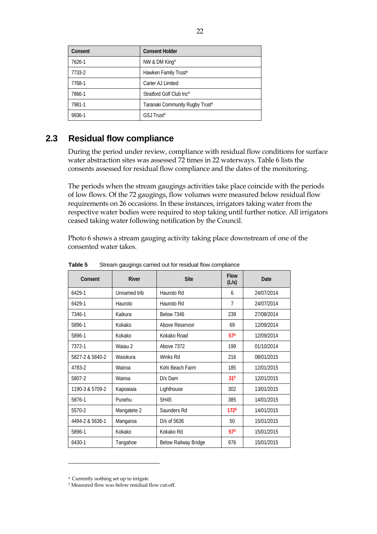| Consent | <b>Consent Holder</b>                       |
|---------|---------------------------------------------|
| 7626-1  | NW & DM King <sup>4</sup>                   |
| 7733-2  | Hawken Family Trust <sup>4</sup>            |
| 7768-1  | Carter AJ Limited                           |
| 7866-1  | Stratford Golf Club Inc <sup>4</sup>        |
| 7981-1  | Taranaki Community Rugby Trust <sup>4</sup> |
| 9936-1  | GSJ Trust <sup>4</sup>                      |

### **2.3 Residual flow compliance**

During the period under review, compliance with residual flow conditions for surface water abstraction sites was assessed 72 times in 22 waterways. Table 6 lists the consents assessed for residual flow compliance and the dates of the monitoring.

The periods when the stream gaugings activities take place coincide with the periods of low flows. Of the 72 gaugings, flow volumes were measured below residual flow requirements on 26 occasions. In these instances, irrigators taking water from the respective water bodies were required to stop taking until further notice. All irrigators ceased taking water following notification by the Council.

Photo 6 shows a stream gauging activity taking place downstream of one of the consented water takes.

| Consent         | <b>River</b> | <b>Site</b>          | <b>Flow</b><br>(L/s) | Date       |
|-----------------|--------------|----------------------|----------------------|------------|
| 6429-1          | Unnamed trib | Hauroto Rd           | 6                    | 24/07/2014 |
| 6429-1          | Hauroto      | Hauroto Rd           | $\overline{7}$       | 24/07/2014 |
| 7346-1          | Kaikura      | <b>Below 7346</b>    | 239                  | 27/08/2014 |
| 5896-1          | Kokako       | Above Reservoir      | 69                   | 12/09/2014 |
| 5896-1          | Kokako       | Kokako Road          | 575                  | 12/09/2014 |
| 7372-1          | Waiau 2      | Above 7372           | 199                  | 01/10/2014 |
| 5827-2 & 5840-2 | Waiokura     | Winks Rd             | 216                  | 08/01/2015 |
| 4783-2          | Wairoa       | Kohi Beach Farm      | 185                  | 12/01/2015 |
| 5807-2          | Wairoa       | D/s Dam              | 31 <sup>5</sup>      | 12/01/2015 |
| 1190-3 & 5709-2 | Kapoaiaia    | Lighthouse           | 302                  | 13/01/2015 |
| 5876-1          | Punehu       | <b>SH45</b>          | 385                  | 14/01/2015 |
| 5570-2          | Mangatete 2  | Saunders Rd          | 1725                 | 14/01/2015 |
| 4494-2 & 5636-1 | Mangaroa     | D/s of 5636          | 50                   | 15/01/2015 |
| 5896-1          | Kokako       | Kokako Rd            | 57 <sup>5</sup>      | 15/01/2015 |
| 6430-1          | Tangahoe     | Below Railway Bridge | 976                  | 15/01/2015 |

**Table 5** Stream gaugings carried out for residual flow compliance

 $\overline{a}$ 

<sup>4</sup> Currently nothing set up to irrigate

<sup>5</sup> Measured flow was below residual flow cut-off.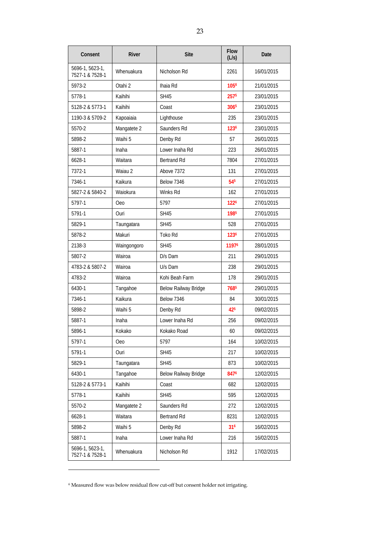| Consent                            | River       | <b>Site</b>          | <b>Flow</b><br>(L/s) | Date       |
|------------------------------------|-------------|----------------------|----------------------|------------|
| 5696-1, 5623-1,<br>7527-1 & 7528-1 | Whenuakura  | Nicholson Rd         | 2261                 | 16/01/2015 |
| 5973-2                             | Otahi 2     | Ihaia Rd             | 1056                 | 21/01/2015 |
| 5778-1                             | Kaihihi     | <b>SH45</b>          | 257 <sup>5</sup>     | 23/01/2015 |
| 5128-2 & 5773-1                    | Kaihihi     | Coast                | 3065                 | 23/01/2015 |
| 1190-3 & 5709-2                    | Kapoaiaia   | Lighthouse           | 235                  | 23/01/2015 |
| 5570-2                             | Mangatete 2 | Saunders Rd          | 1236                 | 23/01/2015 |
| 5898-2                             | Waihi 5     | Denby Rd             | 57                   | 26/01/2015 |
| 5887-1                             | Inaha       | Lower Inaha Rd       | 223                  | 26/01/2015 |
| 6628-1                             | Waitara     | Bertrand Rd          | 7804                 | 27/01/2015 |
| 7372-1                             | Waiau 2     | Above 7372           | 131                  | 27/01/2015 |
| 7346-1                             | Kaikura     | <b>Below 7346</b>    | 54 <sup>5</sup>      | 27/01/2015 |
| 5827-2 & 5840-2                    | Waiokura    | Winks Rd             | 162                  | 27/01/2015 |
| 5797-1                             | <b>Oeo</b>  | 5797                 | 1226                 | 27/01/2015 |
| 5791-1                             | Ouri        | <b>SH45</b>          | 1985                 | 27/01/2015 |
| 5829-1                             | Taungatara  | <b>SH45</b>          | 528                  | 27/01/2015 |
| 5878-2                             | Makuri      | Toko Rd              | 1236                 | 27/01/2015 |
| 2138-3                             | Waingongoro | <b>SH45</b>          | 11976                | 28/01/2015 |
| 5807-2                             | Wairoa      | D/s Dam              | 211                  | 29/01/2015 |
| 4783-2 & 5807-2                    | Wairoa      | U/s Dam              | 238                  | 29/01/2015 |
| 4783-2                             | Wairoa      | Kohi Beah Farm       | 178                  | 29/01/2015 |
| 6430-1                             | Tangahoe    | Below Railway Bridge | 7685                 | 29/01/2015 |
| 7346-1                             | Kaikura     | <b>Below 7346</b>    | 84                   | 30/01/2015 |
| 5898-2                             | Waihi 5     | Denby Rd             | 425                  | 09/02/2015 |
| 5887-1                             | Inaha       | Lower Inaha Rd       | 256                  | 09/02/2015 |
| 5896-1                             | Kokako      | Kokako Road          | 60                   | 09/02/2015 |
| 5797-1                             | Oeo         | 5797                 | 164                  | 10/02/2015 |
| 5791-1                             | Ouri        | <b>SH45</b>          | 217                  | 10/02/2015 |
| 5829-1                             | Taungatara  | <b>SH45</b>          | 873                  | 10/02/2015 |
| 6430-1                             | Tangahoe    | Below Railway Bridge | 8476                 | 12/02/2015 |
| 5128-2 & 5773-1                    | Kaihihi     | Coast                | 682                  | 12/02/2015 |
| 5778-1                             | Kaihihi     | <b>SH45</b>          | 595                  | 12/02/2015 |
| 5570-2                             | Mangatete 2 | Saunders Rd          | 272                  | 12/02/2015 |
| 6628-1                             | Waitara     | Bertrand Rd          | 8231                 | 12/02/2015 |
| 5898-2                             | Waihi 5     | Denby Rd             | 316                  | 16/02/2015 |
| 5887-1                             | Inaha       | Lower Inaha Rd       | 216                  | 16/02/2015 |
| 5696-1, 5623-1,<br>7527-1 & 7528-1 | Whenuakura  | Nicholson Rd         | 1912                 | 17/02/2015 |

<sup>6</sup> Measured flow was below residual flow cut-off but consent holder not irrigating.

 $\overline{a}$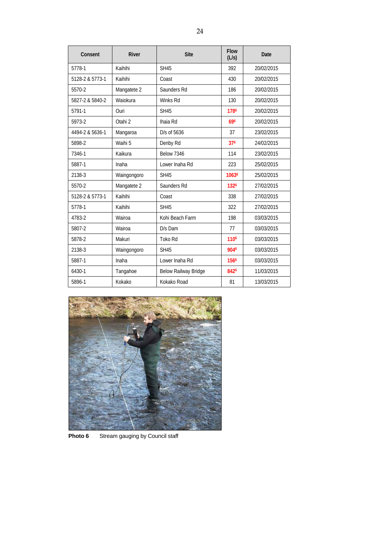| Consent         | <b>River</b> | <b>Site</b>          | <b>Flow</b><br>(L/s) | Date       |
|-----------------|--------------|----------------------|----------------------|------------|
| 5778-1          | Kaihihi      | <b>SH45</b>          | 392                  | 20/02/2015 |
| 5128-2 & 5773-1 | Kaihihi      | Coast                | 430                  | 20/02/2015 |
| 5570-2          | Mangatete 2  | Saunders Rd          | 186                  | 20/02/2015 |
| 5827-2 & 5840-2 | Waiokura     | Winks Rd             | 130                  | 20/02/2015 |
| 5791-1          | Ouri         | <b>SH45</b>          | 1786                 | 20/02/2015 |
| 5973-2          | Otahi 2      | Ihaia Rd             | 696                  | 20/02/2015 |
| 4494-2 & 5636-1 | Mangaroa     | D/s of 5636          | 37                   | 23/02/2015 |
| 5898-2          | Waihi 5      | Denby Rd             | 376                  | 24/02/2015 |
| 7346-1          | Kaikura      | <b>Below 7346</b>    | 114                  | 23/02/2015 |
| 5887-1          | Inaha        | Lower Inaha Rd       | 223                  | 25/02/2015 |
| 2138-3          | Waingongoro  | <b>SH45</b>          | 10636                | 25/02/2015 |
| 5570-2          | Mangatete 2  | Saunders Rd          | 1326                 | 27/02/2015 |
| 5128-2 & 5773-1 | Kaihihi      | Coast                | 338                  | 27/02/2015 |
| 5778-1          | Kaihihi      | <b>SH45</b>          | 322                  | 27/02/2015 |
| 4783-2          | Wairoa       | Kohi Beach Farm      | 198                  | 03/03/2015 |
| 5807-2          | Wairoa       | D/s Dam              | 77                   | 03/03/2015 |
| 5878-2          | Makuri       | Toko Rd              | 1106                 | 03/03/2015 |
| 2138-3          | Waingongoro  | <b>SH45</b>          | 9046                 | 03/03/2015 |
| 5887-1          | Inaha        | Lower Inaha Rd       | 1566                 | 03/03/2015 |
| 6430-1          | Tangahoe     | Below Railway Bridge | 8426                 | 11/03/2015 |
| 5896-1          | Kokako       | Kokako Road          | 81                   | 13/03/2015 |



**Photo 6** Stream gauging by Council staff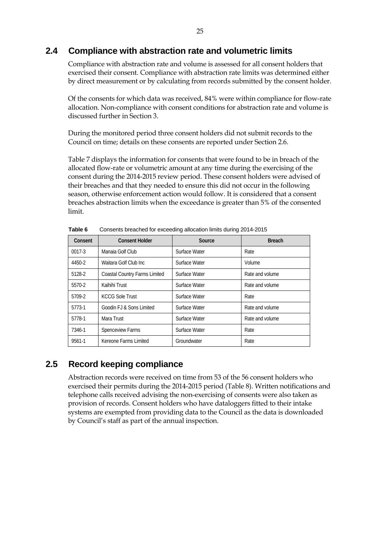### **2.4 Compliance with abstraction rate and volumetric limits**

Compliance with abstraction rate and volume is assessed for all consent holders that exercised their consent. Compliance with abstraction rate limits was determined either by direct measurement or by calculating from records submitted by the consent holder.

Of the consents for which data was received, 84% were within compliance for flow-rate allocation. Non-compliance with consent conditions for abstraction rate and volume is discussed further in Section 3.

During the monitored period three consent holders did not submit records to the Council on time; details on these consents are reported under Section 2.6.

Table 7 displays the information for consents that were found to be in breach of the allocated flow-rate or volumetric amount at any time during the exercising of the consent during the 2014-2015 review period. These consent holders were advised of their breaches and that they needed to ensure this did not occur in the following season, otherwise enforcement action would follow. It is considered that a consent breaches abstraction limits when the exceedance is greater than 5% of the consented limit.

| Consent    | <b>Consent Holder</b>                | Source        | <b>Breach</b>   |
|------------|--------------------------------------|---------------|-----------------|
| $0017 - 3$ | Manaia Golf Club                     | Surface Water | Rate            |
| 4450-2     | Waitara Golf Club Inc.               | Surface Water | Volume          |
| 5128-2     | <b>Coastal Country Farms Limited</b> | Surface Water | Rate and volume |
| 5570-2     | Kaihihi Trust                        | Surface Water | Rate and volume |
| 5709-2     | <b>KCCG Sole Trust</b>               | Surface Water | Rate            |
| 5773-1     | Goodin FJ & Sons Limited             | Surface Water | Rate and volume |
| 5778-1     | Mara Trust                           | Surface Water | Rate and volume |
| 7346-1     | Spenceview Farms                     | Surface Water | Rate            |
| 9561-1     | Kereone Farms Limited                | Groundwater   | Rate            |

**Table 6** Consents breached for exceeding allocation limits during 2014-2015

### **2.5 Record keeping compliance**

Abstraction records were received on time from 53 of the 56 consent holders who exercised their permits during the 2014-2015 period (Table 8). Written notifications and telephone calls received advising the non-exercising of consents were also taken as provision of records. Consent holders who have dataloggers fitted to their intake systems are exempted from providing data to the Council as the data is downloaded by Council's staff as part of the annual inspection.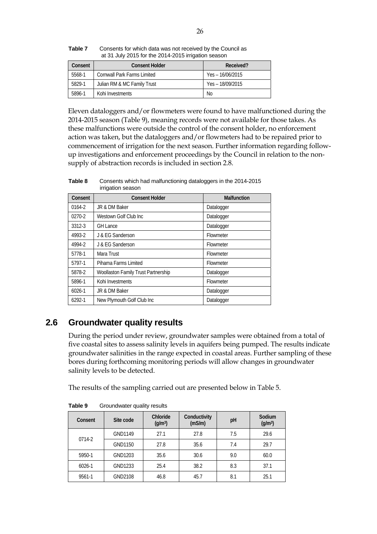| Table 7 | Consents for which data was not received by the Council as |
|---------|------------------------------------------------------------|
|         | at 31 July 2015 for the 2014-2015 irrigation season        |

| Consent | <b>Consent Holder</b>              | Received?          |
|---------|------------------------------------|--------------------|
| 5568-1  | <b>Cornwall Park Farms Limited</b> | $Yes - 16/06/2015$ |
| 5829-1  | Julian RM & MC Family Trust        | $Yes - 18/09/2015$ |
| 5896-1  | Kohi Investments                   | No.                |

Eleven dataloggers and/or flowmeters were found to have malfunctioned during the 2014-2015 season (Table 9), meaning records were not available for those takes. As these malfunctions were outside the control of the consent holder, no enforcement action was taken, but the dataloggers and/or flowmeters had to be repaired prior to commencement of irrigation for the next season. Further information regarding followup investigations and enforcement proceedings by the Council in relation to the nonsupply of abstraction records is included in section 2.8.

| Consent | <b>Consent Holder</b>               | <b>Malfunction</b> |
|---------|-------------------------------------|--------------------|
| 0164-2  | JR & DM Baker                       | Datalogger         |
| 0270-2  | Westown Golf Club Inc               | Datalogger         |
| 3312-3  | <b>GH Lance</b>                     | Datalogger         |
| 4993-2  | J & EG Sanderson                    | Flowmeter          |
| 4994-2  | J & EG Sanderson                    | Flowmeter          |
| 5778-1  | Mara Trust                          | Flowmeter          |
| 5797-1  | Pihama Farms Limited                | Flowmeter          |
| 5878-2  | Woollaston Family Trust Partnership | Datalogger         |
| 5896-1  | Kohi Investments                    | Flowmeter          |
| 6026-1  | JR & DM Baker                       | Datalogger         |
| 6292-1  | New Plymouth Golf Club Inc          | Datalogger         |

**Table 8** Consents which had malfunctioning dataloggers in the 2014-2015 irrigation season

### **2.6 Groundwater quality results**

During the period under review, groundwater samples were obtained from a total of five coastal sites to assess salinity levels in aquifers being pumped. The results indicate groundwater salinities in the range expected in coastal areas. Further sampling of these bores during forthcoming monitoring periods will allow changes in groundwater salinity levels to be detected.

The results of the sampling carried out are presented below in Table 5.

| Consent    | Site code      | Chloride<br>(q/m <sup>3</sup> ) | Conductivity<br>(mS/m) | рH  | Sodium<br>(g/m <sup>3</sup> ) |
|------------|----------------|---------------------------------|------------------------|-----|-------------------------------|
|            | <b>GND1149</b> | 27.1                            | 27.8                   | 7.5 | 29.6                          |
| 0714-2     | GND1150        | 27.8                            | 35.6                   | 7.4 | 29.7                          |
| 5950-1     | GND1203        | 35.6                            | 30.6                   | 9.0 | 60.0                          |
| $6026 - 1$ | GND1233        | 25.4                            | 38.2                   | 8.3 | 37.1                          |
| 9561-1     | GND2108        | 46.8                            | 45.7                   | 8.1 | 25.1                          |

Table 9 Groundwater quality results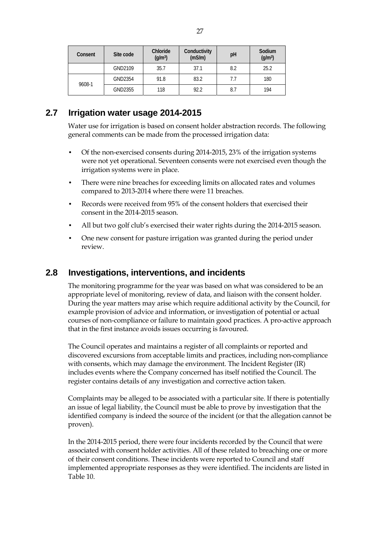| Consent | Site code | Chloride<br>(q/m <sup>3</sup> ) | Conductivity<br>(mS/m) | pH  | Sodium<br>(g/m <sup>3</sup> ) |
|---------|-----------|---------------------------------|------------------------|-----|-------------------------------|
|         | GND2109   | 35.7                            | 37.1                   | 8.2 | 25.2                          |
|         | GND2354   | 91.8                            | 83.2                   | 7.7 | 180                           |
| 9608-1  | GND2355   | 118                             | 92.2                   | 8.7 | 194                           |

### **2.7 Irrigation water usage 2014-2015**

Water use for irrigation is based on consent holder abstraction records. The following general comments can be made from the processed irrigation data:

- Of the non-exercised consents during 2014-2015, 23% of the irrigation systems were not yet operational. Seventeen consents were not exercised even though the irrigation systems were in place.
- There were nine breaches for exceeding limits on allocated rates and volumes compared to 2013-2014 where there were 11 breaches.
- Records were received from 95% of the consent holders that exercised their consent in the 2014-2015 season.
- All but two golf club's exercised their water rights during the 2014-2015 season.
- One new consent for pasture irrigation was granted during the period under review.

### **2.8 Investigations, interventions, and incidents**

The monitoring programme for the year was based on what was considered to be an appropriate level of monitoring, review of data, and liaison with the consent holder. During the year matters may arise which require additional activity by the Council, for example provision of advice and information, or investigation of potential or actual courses of non-compliance or failure to maintain good practices. A pro-active approach that in the first instance avoids issues occurring is favoured.

The Council operates and maintains a register of all complaints or reported and discovered excursions from acceptable limits and practices, including non-compliance with consents, which may damage the environment. The Incident Register (IR) includes events where the Company concerned has itself notified the Council. The register contains details of any investigation and corrective action taken.

Complaints may be alleged to be associated with a particular site. If there is potentially an issue of legal liability, the Council must be able to prove by investigation that the identified company is indeed the source of the incident (or that the allegation cannot be proven).

In the 2014-2015 period, there were four incidents recorded by the Council that were associated with consent holder activities. All of these related to breaching one or more of their consent conditions. These incidents were reported to Council and staff implemented appropriate responses as they were identified. The incidents are listed in Table 10.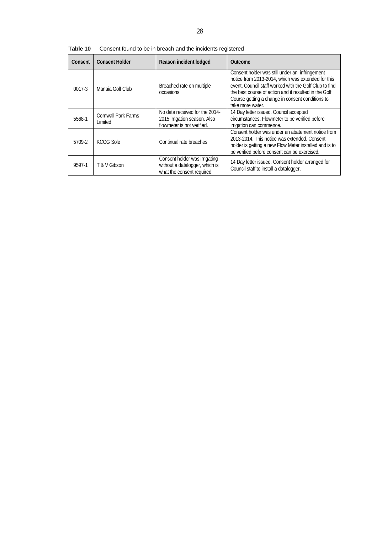| Consent    | <b>Consent Holder</b>          | Reason incident lodged                                                                        | Outcome                                                                                                                                                                                                                                                                                         |
|------------|--------------------------------|-----------------------------------------------------------------------------------------------|-------------------------------------------------------------------------------------------------------------------------------------------------------------------------------------------------------------------------------------------------------------------------------------------------|
| $0017 - 3$ | Manaia Golf Club               | Breached rate on multiple<br>occasions                                                        | Consent holder was still under an infringement<br>notice from 2013-2014, which was extended for this<br>event. Council staff worked with the Golf Club to find<br>the best course of action and it resulted in the Golf<br>Course getting a change in consent conditions to<br>take more water. |
| 5568-1     | Cornwall Park Farms<br>Limited | No data received for the 2014-<br>2015 irrigation season. Also<br>flowmeter is not verified.  | 14 Day letter issued. Council accepted<br>circumstances. Flowmeter to be verified before<br>irrigation can commence.                                                                                                                                                                            |
| 5709-2     | KCCG Sole                      | Continual rate breaches                                                                       | Consent holder was under an abatement notice from<br>2013-2014. This notice was extended. Consent<br>holder is getting a new Flow Meter installed and is to<br>be verified before consent can be exercised.                                                                                     |
| 9597-1     | T & V Gibson                   | Consent holder was irrigating<br>without a datalogger, which is<br>what the consent required. | 14 Day letter issued. Consent holder arranged for<br>Council staff to install a datalogger.                                                                                                                                                                                                     |

**Table 10** Consent found to be in breach and the incidents registered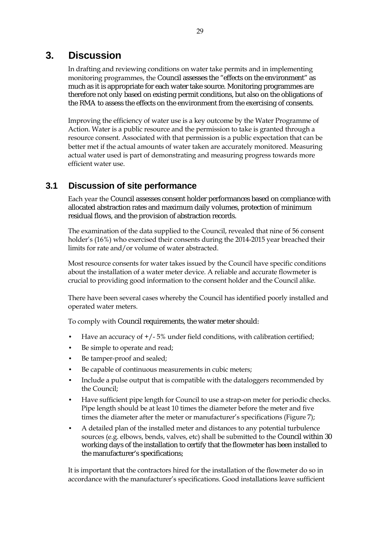## **3. Discussion**

In drafting and reviewing conditions on water take permits and in implementing monitoring programmes, the Council assesses the "effects on the environment" as much as it is appropriate for each water take source. Monitoring programmes are therefore not only based on existing permit conditions, but also on the obligations of the RMA to assess the effects on the environment from the exercising of consents.

Improving the efficiency of water use is a key outcome by the Water Programme of Action. Water is a public resource and the permission to take is granted through a resource consent. Associated with that permission is a public expectation that can be better met if the actual amounts of water taken are accurately monitored. Measuring actual water used is part of demonstrating and measuring progress towards more efficient water use.

### **3.1 Discussion of site performance**

Each year the Council assesses consent holder performances based on compliance with allocated abstraction rates and maximum daily volumes, protection of minimum residual flows, and the provision of abstraction records.

The examination of the data supplied to the Council, revealed that nine of 56 consent holder's (16%) who exercised their consents during the 2014-2015 year breached their limits for rate and/or volume of water abstracted.

Most resource consents for water takes issued by the Council have specific conditions about the installation of a water meter device. A reliable and accurate flowmeter is crucial to providing good information to the consent holder and the Council alike.

There have been several cases whereby the Council has identified poorly installed and operated water meters.

To comply with Council requirements, the water meter should:

- Have an accuracy of  $+/-5\%$  under field conditions, with calibration certified;
- Be simple to operate and read;
- Be tamper-proof and sealed;
- Be capable of continuous measurements in cubic meters;
- Include a pulse output that is compatible with the dataloggers recommended by the Council;
- Have sufficient pipe length for Council to use a strap-on meter for periodic checks. Pipe length should be at least 10 times the diameter before the meter and five times the diameter after the meter or manufacturer's specifications (Figure 7);
- A detailed plan of the installed meter and distances to any potential turbulence sources (e.g. elbows, bends, valves, etc) shall be submitted to the Council within 30 working days of the installation to certify that the flowmeter has been installed to the manufacturer's specifications;

It is important that the contractors hired for the installation of the flowmeter do so in accordance with the manufacturer's specifications. Good installations leave sufficient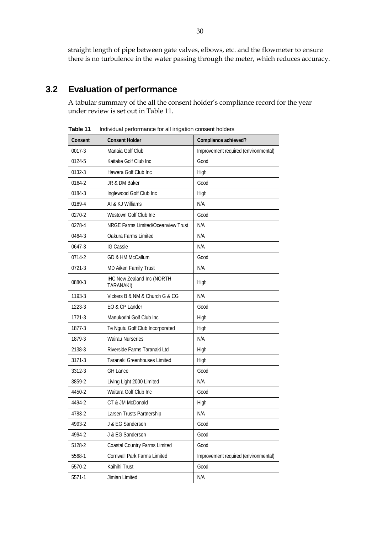straight length of pipe between gate valves, elbows, etc. and the flowmeter to ensure there is no turbulence in the water passing through the meter, which reduces accuracy.

### **3.2 Evaluation of performance**

A tabular summary of the all the consent holder's compliance record for the year under review is set out in Table 11.

| Consent | <b>Consent Holder</b>                          | Compliance achieved?                 |
|---------|------------------------------------------------|--------------------------------------|
| 0017-3  | Manaia Golf Club                               | Improvement required (environmental) |
| 0124-5  | Kaitake Golf Club Inc                          | Good                                 |
| 0132-3  | Hawera Golf Club Inc                           | High                                 |
| 0164-2  | JR & DM Baker                                  | Good                                 |
| 0184-3  | Inglewood Golf Club Inc                        | High                                 |
| 0189-4  | AI & KJ Williams                               | N/A                                  |
| 0270-2  | Westown Golf Club Inc                          | Good                                 |
| 0278-4  | NRGE Farms Limited/Oceanview Trust             | N/A                                  |
| 0464-3  | Oakura Farms Limited                           | N/A                                  |
| 0647-3  | <b>IG Cassie</b>                               | N/A                                  |
| 0714-2  | GD & HM McCallum                               | Good                                 |
| 0721-3  | MD Aiken Family Trust                          | N/A                                  |
| 0880-3  | <b>IHC New Zealand Inc (NORTH</b><br>TARANAKI) | High                                 |
| 1193-3  | Vickers B & NM & Church G & CG                 | N/A                                  |
| 1223-3  | EO & CP Lander                                 | Good                                 |
| 1721-3  | Manukorihi Golf Club Inc                       | High                                 |
| 1877-3  | Te Ngutu Golf Club Incorporated                | High                                 |
| 1879-3  | <b>Wairau Nurseries</b>                        | N/A                                  |
| 2138-3  | Riverside Farms Taranaki Ltd                   | High                                 |
| 3171-3  | Taranaki Greenhouses Limited                   | High                                 |
| 3312-3  | <b>GH Lance</b>                                | Good                                 |
| 3859-2  | Living Light 2000 Limited                      | N/A                                  |
| 4450-2  | Waitara Golf Club Inc                          | Good                                 |
| 4494-2  | CT & JM McDonald                               | High                                 |
| 4783-2  | Larsen Trusts Partnership                      | N/A                                  |
| 4993-2  | J & EG Sanderson                               | Good                                 |
| 4994-2  | J & EG Sanderson                               | Good                                 |
| 5128-2  | Coastal Country Farms Limited                  | Good                                 |
| 5568-1  | Cornwall Park Farms Limited                    | Improvement required (environmental) |
| 5570-2  | Kaihihi Trust                                  | Good                                 |
| 5571-1  | Jimian Limited                                 | N/A                                  |

**Table 11** Individual performance for all irrigation consent holders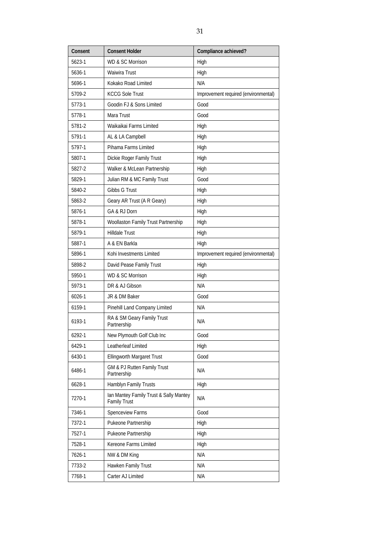| Consent | <b>Consent Holder</b>                                         | Compliance achieved?                 |
|---------|---------------------------------------------------------------|--------------------------------------|
| 5623-1  | <b>WD &amp; SC Morrison</b>                                   | High                                 |
| 5636-1  | Waiwira Trust                                                 | High                                 |
| 5696-1  | Kokako Road Limited                                           | N/A                                  |
| 5709-2  | <b>KCCG Sole Trust</b>                                        | Improvement required (environmental) |
| 5773-1  | Goodin FJ & Sons Limited                                      | Good                                 |
| 5778-1  | Mara Trust                                                    | Good                                 |
| 5781-2  | Waikaikai Farms Limited                                       | High                                 |
| 5791-1  | AL & LA Campbell                                              | High                                 |
| 5797-1  | Pihama Farms Limited                                          | High                                 |
| 5807-1  | Dickie Roger Family Trust                                     | High                                 |
| 5827-2  | Walker & McLean Partnership                                   | High                                 |
| 5829-1  | Julian RM & MC Family Trust                                   | Good                                 |
| 5840-2  | Gibbs G Trust                                                 | High                                 |
| 5863-2  | Geary AR Trust (A R Geary)                                    | High                                 |
| 5876-1  | GA & RJ Dorn                                                  | High                                 |
| 5878-1  | Woollaston Family Trust Partnership                           | High                                 |
| 5879-1  | <b>Hilldale Trust</b>                                         | High                                 |
| 5887-1  | A & EN Barkla                                                 | High                                 |
| 5896-1  | Kohi Investments Limited                                      | Improvement required (environmental) |
| 5898-2  | David Pease Family Trust                                      | High                                 |
| 5950-1  | <b>WD &amp; SC Morrison</b>                                   | High                                 |
| 5973-1  | DR & AJ Gibson                                                | N/A                                  |
| 6026-1  | JR & DM Baker                                                 | Good                                 |
| 6159-1  | Pinehill Land Company Limited                                 | N/A                                  |
| 6193-1  | RA & SM Geary Family Trust<br>Partnership                     | N/A                                  |
| 6292-1  | New Plymouth Golf Club Inc                                    | Good                                 |
| 6429-1  | Leatherleaf Limited                                           | High                                 |
| 6430-1  | <b>Ellingworth Margaret Trust</b>                             | Good                                 |
| 6486-1  | GM & PJ Rutten Family Trust<br>Partnership                    | N/A                                  |
| 6628-1  | Hamblyn Family Trusts                                         | High                                 |
| 7270-1  | Ian Mantey Family Trust & Sally Mantey<br><b>Family Trust</b> | N/A                                  |
| 7346-1  | Spenceview Farms                                              | Good                                 |
| 7372-1  | Pukeone Partnership                                           | High                                 |
| 7527-1  | Pukeone Partnership                                           | High                                 |
| 7528-1  | Kereone Farms Limited                                         | High                                 |
| 7626-1  | NW & DM King                                                  | N/A                                  |
| 7733-2  | Hawken Family Trust                                           | N/A                                  |
| 7768-1  | Carter AJ Limited                                             | N/A                                  |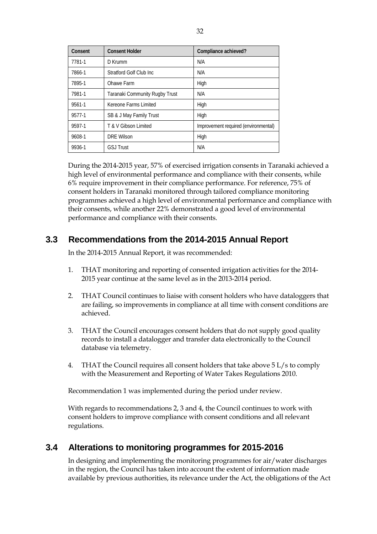| Consent | <b>Consent Holder</b>          | Compliance achieved?                 |
|---------|--------------------------------|--------------------------------------|
| 7781-1  | $D$ Krumm                      | N/A                                  |
| 7866-1  | Stratford Golf Club Inc.       | N/A                                  |
| 7895-1  | Ohawe Farm                     | High                                 |
| 7981-1  | Taranaki Community Rugby Trust | N/A                                  |
| 9561-1  | Kereone Farms Limited          | High                                 |
| 9577-1  | SB & J May Family Trust        | High                                 |
| 9597-1  | T & V Gibson Limited           | Improvement required (environmental) |
| 9608-1  | <b>DRE Wilson</b>              | High                                 |
| 9936-1  | <b>GSJ Trust</b>               | N/A                                  |

During the 2014-2015 year, 57% of exercised irrigation consents in Taranaki achieved a high level of environmental performance and compliance with their consents, while 6% require improvement in their compliance performance. For reference, 75% of consent holders in Taranaki monitored through tailored compliance monitoring programmes achieved a high level of environmental performance and compliance with their consents, while another 22% demonstrated a good level of environmental performance and compliance with their consents.

### **3.3 Recommendations from the 2014-2015 Annual Report**

In the 2014-2015 Annual Report, it was recommended:

- 1. THAT monitoring and reporting of consented irrigation activities for the 2014- 2015 year continue at the same level as in the 2013-2014 period.
- 2. THAT Council continues to liaise with consent holders who have dataloggers that are failing, so improvements in compliance at all time with consent conditions are achieved.
- 3. THAT the Council encourages consent holders that do not supply good quality records to install a datalogger and transfer data electronically to the Council database via telemetry.
- 4. THAT the Council requires all consent holders that take above 5 L/s to comply with the Measurement and Reporting of Water Takes Regulations 2010.

Recommendation 1 was implemented during the period under review.

With regards to recommendations 2, 3 and 4, the Council continues to work with consent holders to improve compliance with consent conditions and all relevant regulations.

### **3.4 Alterations to monitoring programmes for 2015-2016**

In designing and implementing the monitoring programmes for air/water discharges in the region, the Council has taken into account the extent of information made available by previous authorities, its relevance under the Act, the obligations of the Act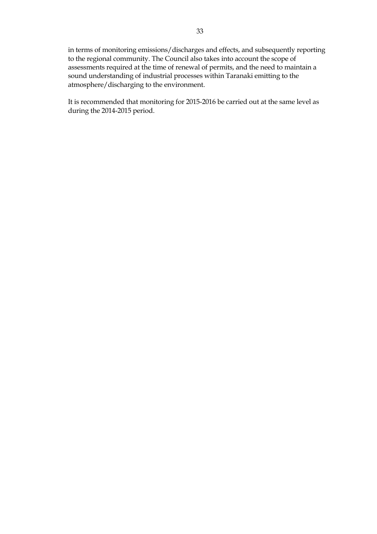in terms of monitoring emissions/discharges and effects, and subsequently reporting to the regional community. The Council also takes into account the scope of assessments required at the time of renewal of permits, and the need to maintain a sound understanding of industrial processes within Taranaki emitting to the atmosphere/discharging to the environment.

It is recommended that monitoring for 2015-2016 be carried out at the same level as during the 2014-2015 period.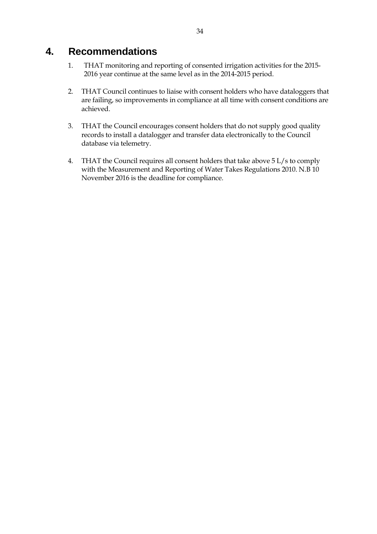### **4. Recommendations**

- 1. THAT monitoring and reporting of consented irrigation activities for the 2015- 2016 year continue at the same level as in the 2014-2015 period.
- 2. THAT Council continues to liaise with consent holders who have dataloggers that are failing, so improvements in compliance at all time with consent conditions are achieved.
- 3. THAT the Council encourages consent holders that do not supply good quality records to install a datalogger and transfer data electronically to the Council database via telemetry.
- 4. THAT the Council requires all consent holders that take above 5 L/s to comply with the Measurement and Reporting of Water Takes Regulations 2010. N.B 10 November 2016 is the deadline for compliance.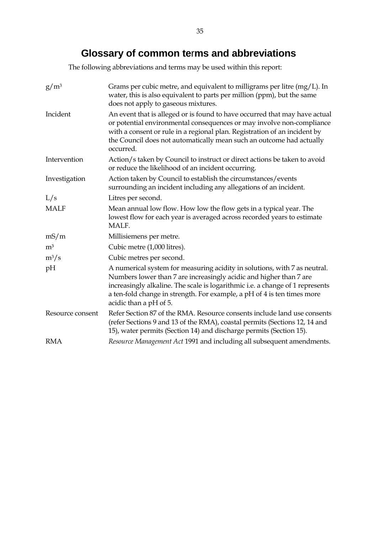## **Glossary of common te**r**ms and abbreviations**

The following abbreviations and terms may be used within this report:

| $g/m^3$          | Grams per cubic metre, and equivalent to milligrams per litre $(mg/L)$ . In<br>water, this is also equivalent to parts per million (ppm), but the same<br>does not apply to gaseous mixtures.                                                                                                                                         |
|------------------|---------------------------------------------------------------------------------------------------------------------------------------------------------------------------------------------------------------------------------------------------------------------------------------------------------------------------------------|
| Incident         | An event that is alleged or is found to have occurred that may have actual<br>or potential environmental consequences or may involve non-compliance<br>with a consent or rule in a regional plan. Registration of an incident by<br>the Council does not automatically mean such an outcome had actually<br>occurred.                 |
| Intervention     | Action/s taken by Council to instruct or direct actions be taken to avoid<br>or reduce the likelihood of an incident occurring.                                                                                                                                                                                                       |
| Investigation    | Action taken by Council to establish the circumstances/events<br>surrounding an incident including any allegations of an incident.                                                                                                                                                                                                    |
| L/s              | Litres per second.                                                                                                                                                                                                                                                                                                                    |
| <b>MALF</b>      | Mean annual low flow. How low the flow gets in a typical year. The<br>lowest flow for each year is averaged across recorded years to estimate<br>MALF.                                                                                                                                                                                |
| mS/m             | Millisiemens per metre.                                                                                                                                                                                                                                                                                                               |
| m <sup>3</sup>   | Cubic metre (1,000 litres).                                                                                                                                                                                                                                                                                                           |
| $m^3/s$          | Cubic metres per second.                                                                                                                                                                                                                                                                                                              |
| pH               | A numerical system for measuring acidity in solutions, with 7 as neutral.<br>Numbers lower than 7 are increasingly acidic and higher than 7 are<br>increasingly alkaline. The scale is logarithmic i.e. a change of 1 represents<br>a ten-fold change in strength. For example, a pH of 4 is ten times more<br>acidic than a pH of 5. |
| Resource consent | Refer Section 87 of the RMA. Resource consents include land use consents<br>(refer Sections 9 and 13 of the RMA), coastal permits (Sections 12, 14 and<br>15), water permits (Section 14) and discharge permits (Section 15).                                                                                                         |
| <b>RMA</b>       | Resource Management Act 1991 and including all subsequent amendments.                                                                                                                                                                                                                                                                 |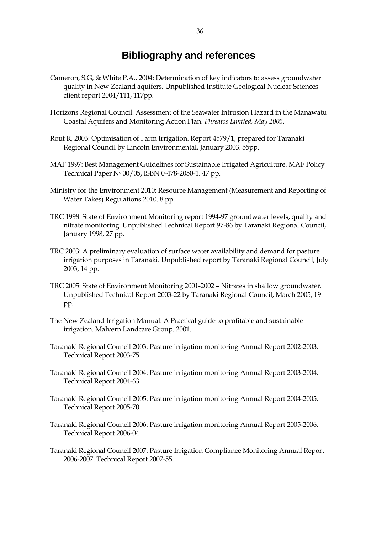## **Bibliography and references**

- Cameron, S.G, & White P.A., 2004: Determination of key indicators to assess groundwater quality in New Zealand aquifers. Unpublished Institute Geological Nuclear Sciences client report 2004/111, 117pp.
- Horizons Regional Council. Assessment of the Seawater Intrusion Hazard in the Manawatu Coastal Aquifers and Monitoring Action Plan. *Phreatos Limited, May 2005.*
- Rout R, 2003: Optimisation of Farm Irrigation. Report 4579/1, prepared for Taranaki Regional Council by Lincoln Environmental, January 2003. 55pp.
- MAF 1997: Best Management Guidelines for Sustainable Irrigated Agriculture. MAF Policy Technical Paper No 00/05, ISBN 0-478-2050-1. 47 pp.
- Ministry for the Environment 2010: Resource Management (Measurement and Reporting of Water Takes) Regulations 2010. 8 pp.
- TRC 1998: State of Environment Monitoring report 1994-97 groundwater levels, quality and nitrate monitoring. Unpublished Technical Report 97-86 by Taranaki Regional Council, January 1998, 27 pp.
- TRC 2003: A preliminary evaluation of surface water availability and demand for pasture irrigation purposes in Taranaki. Unpublished report by Taranaki Regional Council, July 2003, 14 pp.
- TRC 2005: State of Environment Monitoring 2001-2002 Nitrates in shallow groundwater. Unpublished Technical Report 2003-22 by Taranaki Regional Council, March 2005, 19 pp.
- The New Zealand Irrigation Manual. A Practical guide to profitable and sustainable irrigation. Malvern Landcare Group. 2001.
- Taranaki Regional Council 2003: Pasture irrigation monitoring Annual Report 2002-2003. Technical Report 2003-75.
- Taranaki Regional Council 2004: Pasture irrigation monitoring Annual Report 2003-2004. Technical Report 2004-63.
- Taranaki Regional Council 2005: Pasture irrigation monitoring Annual Report 2004-2005. Technical Report 2005-70.
- Taranaki Regional Council 2006: Pasture irrigation monitoring Annual Report 2005-2006. Technical Report 2006-04.
- Taranaki Regional Council 2007: Pasture Irrigation Compliance Monitoring Annual Report 2006-2007. Technical Report 2007-55.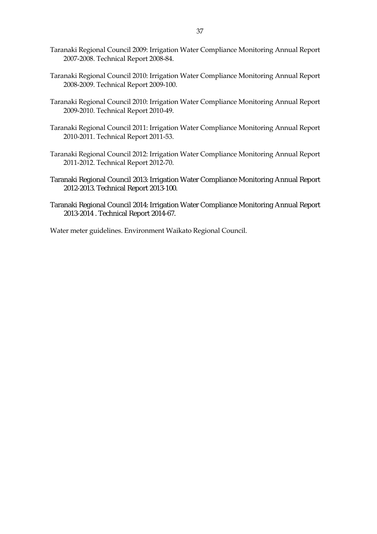- Taranaki Regional Council 2009: Irrigation Water Compliance Monitoring Annual Report 2007-2008. Technical Report 2008-84.
- Taranaki Regional Council 2010: Irrigation Water Compliance Monitoring Annual Report 2008-2009. Technical Report 2009-100.
- Taranaki Regional Council 2010: Irrigation Water Compliance Monitoring Annual Report 2009-2010. Technical Report 2010-49.
- Taranaki Regional Council 2011: Irrigation Water Compliance Monitoring Annual Report 2010-2011. Technical Report 2011-53.
- Taranaki Regional Council 2012: Irrigation Water Compliance Monitoring Annual Report 2011-2012. Technical Report 2012-70.
- Taranaki Regional Council 2013: Irrigation Water Compliance Monitoring Annual Report 2012-2013. Technical Report 2013-100.
- Taranaki Regional Council 2014: Irrigation Water Compliance Monitoring Annual Report 2013-2014 . Technical Report 2014-67.

Water meter guidelines. Environment Waikato Regional Council.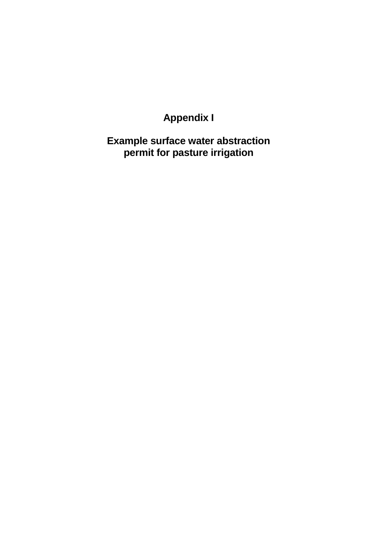# **Appendix I**

**Example surface water abstraction permit for pasture irrigation**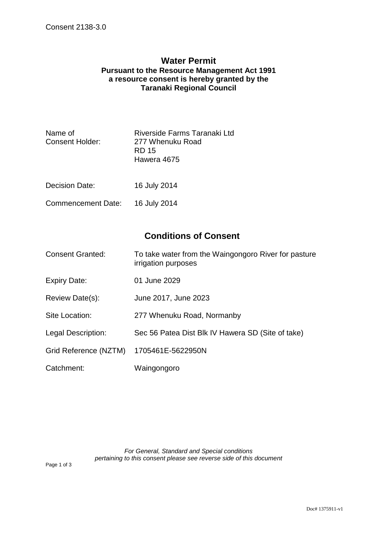#### **Water Permit Pursuant to the Resource Management Act 1991 a resource consent is hereby granted by the Taranaki Regional Council**

| Name of<br><b>Consent Holder:</b> | Riverside Farms Taranaki Ltd<br>277 Whenuku Road<br>RD 15<br>Hawera 4675 |
|-----------------------------------|--------------------------------------------------------------------------|
| <b>Decision Date:</b>             | 16 July 2014                                                             |
| Commencement Date:                | 16 July 2014                                                             |

### **Conditions of Consent**

| <b>Consent Granted:</b> | To take water from the Waingongoro River for pasture |
|-------------------------|------------------------------------------------------|
|                         | irrigation purposes                                  |

- Expiry Date: 01 June 2029
- Review Date(s): June 2017, June 2023
- Site Location: 277 Whenuku Road, Normanby
- Legal Description: Sec 56 Patea Dist Blk IV Hawera SD (Site of take)
- Grid Reference (NZTM) 1705461E-5622950N
- Catchment: Waingongoro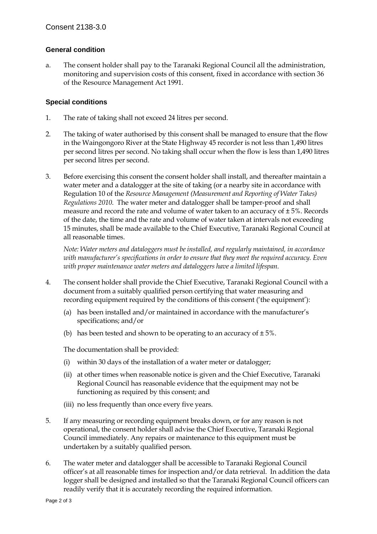#### **General condition**

a. The consent holder shall pay to the Taranaki Regional Council all the administration, monitoring and supervision costs of this consent, fixed in accordance with section 36 of the Resource Management Act 1991.

#### **Special conditions**

- 1. The rate of taking shall not exceed 24 litres per second.
- 2. The taking of water authorised by this consent shall be managed to ensure that the flow in the Waingongoro River at the State Highway 45 recorder is not less than 1,490 litres per second litres per second. No taking shall occur when the flow is less than 1,490 litres per second litres per second.
- 3. Before exercising this consent the consent holder shall install, and thereafter maintain a water meter and a datalogger at the site of taking (or a nearby site in accordance with Regulation 10 of the *Resource Management (Measurement and Reporting of Water Takes) Regulations 2010*. The water meter and datalogger shall be tamper-proof and shall measure and record the rate and volume of water taken to an accuracy of  $\pm 5$ %. Records of the date, the time and the rate and volume of water taken at intervals not exceeding 15 minutes, shall be made available to the Chief Executive, Taranaki Regional Council at all reasonable times.

*Note: Water meters and dataloggers must be installed, and regularly maintained, in accordance with manufacturer's specifications in order to ensure that they meet the required accuracy. Even with proper maintenance water meters and dataloggers have a limited lifespan.* 

- 4. The consent holder shall provide the Chief Executive, Taranaki Regional Council with a document from a suitably qualified person certifying that water measuring and recording equipment required by the conditions of this consent ('the equipment'):
	- (a) has been installed and/or maintained in accordance with the manufacturer's specifications; and/or
	- (b) has been tested and shown to be operating to an accuracy of  $\pm 5\%$ .

The documentation shall be provided:

- (i) within 30 days of the installation of a water meter or datalogger;
- (ii) at other times when reasonable notice is given and the Chief Executive, Taranaki Regional Council has reasonable evidence that the equipment may not be functioning as required by this consent; and
- (iii) no less frequently than once every five years.
- 5. If any measuring or recording equipment breaks down, or for any reason is not operational, the consent holder shall advise the Chief Executive, Taranaki Regional Council immediately. Any repairs or maintenance to this equipment must be undertaken by a suitably qualified person.
- 6. The water meter and datalogger shall be accessible to Taranaki Regional Council officer's at all reasonable times for inspection and/or data retrieval. In addition the data logger shall be designed and installed so that the Taranaki Regional Council officers can readily verify that it is accurately recording the required information.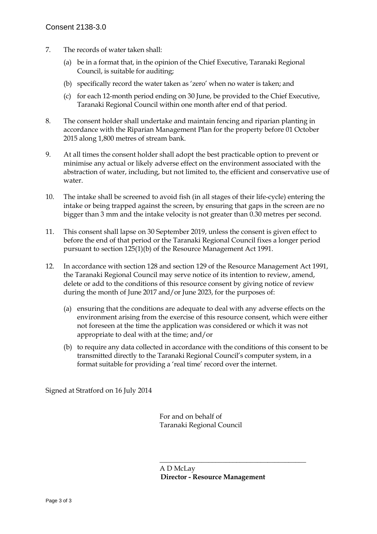- 7. The records of water taken shall:
	- (a) be in a format that, in the opinion of the Chief Executive, Taranaki Regional Council, is suitable for auditing;
	- (b) specifically record the water taken as 'zero' when no water is taken; and
	- (c) for each 12-month period ending on 30 June, be provided to the Chief Executive, Taranaki Regional Council within one month after end of that period.
- 8. The consent holder shall undertake and maintain fencing and riparian planting in accordance with the Riparian Management Plan for the property before 01 October 2015 along 1,800 metres of stream bank.
- 9. At all times the consent holder shall adopt the best practicable option to prevent or minimise any actual or likely adverse effect on the environment associated with the abstraction of water, including, but not limited to, the efficient and conservative use of water.
- 10. The intake shall be screened to avoid fish (in all stages of their life-cycle) entering the intake or being trapped against the screen, by ensuring that gaps in the screen are no bigger than 3 mm and the intake velocity is not greater than 0.30 metres per second.
- 11. This consent shall lapse on 30 September 2019, unless the consent is given effect to before the end of that period or the Taranaki Regional Council fixes a longer period pursuant to section 125(1)(b) of the Resource Management Act 1991.
- 12. In accordance with section 128 and section 129 of the Resource Management Act 1991, the Taranaki Regional Council may serve notice of its intention to review, amend, delete or add to the conditions of this resource consent by giving notice of review during the month of June 2017 and/or June 2023, for the purposes of:
	- (a) ensuring that the conditions are adequate to deal with any adverse effects on the environment arising from the exercise of this resource consent, which were either not foreseen at the time the application was considered or which it was not appropriate to deal with at the time; and/or
	- (b) to require any data collected in accordance with the conditions of this consent to be transmitted directly to the Taranaki Regional Council's computer system, in a format suitable for providing a 'real time' record over the internet.

Signed at Stratford on 16 July 2014

 For and on behalf of Taranaki Regional Council

 $\frac{1}{\sqrt{2}}$  ,  $\frac{1}{\sqrt{2}}$  ,  $\frac{1}{\sqrt{2}}$  ,  $\frac{1}{\sqrt{2}}$  ,  $\frac{1}{\sqrt{2}}$  ,  $\frac{1}{\sqrt{2}}$  ,  $\frac{1}{\sqrt{2}}$  ,  $\frac{1}{\sqrt{2}}$  ,  $\frac{1}{\sqrt{2}}$  ,  $\frac{1}{\sqrt{2}}$  ,  $\frac{1}{\sqrt{2}}$  ,  $\frac{1}{\sqrt{2}}$  ,  $\frac{1}{\sqrt{2}}$  ,  $\frac{1}{\sqrt{2}}$  ,  $\frac{1}{\sqrt{2}}$ 

 A D McLay **Director - Resource Management**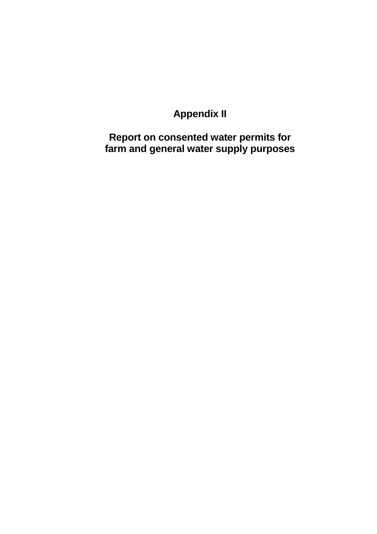# **Appendix II**

**Report on consented water permits for farm and general water supply purposes**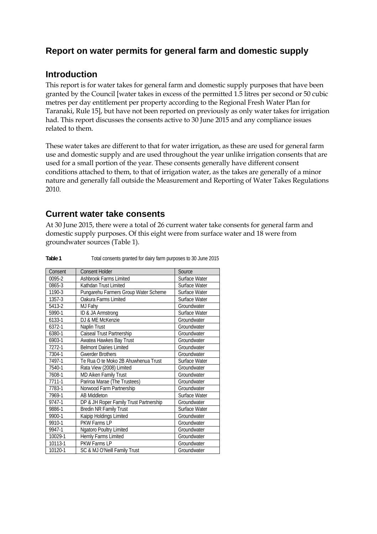### **Report on water permits for general farm and domestic supply**

### **Introduction**

This report is for water takes for general farm and domestic supply purposes that have been granted by the Council [water takes in excess of the permitted 1.5 litres per second or 50 cubic metres per day entitlement per property according to the Regional Fresh Water Plan for Taranaki, Rule 15], but have not been reported on previously as only water takes for irrigation had. This report discusses the consents active to 30 June 2015 and any compliance issues related to them.

These water takes are different to that for water irrigation, as these are used for general farm use and domestic supply and are used throughout the year unlike irrigation consents that are used for a small portion of the year. These consents generally have different consent conditions attached to them, to that of irrigation water, as the takes are generally of a minor nature and generally fall outside the Measurement and Reporting of Water Takes Regulations 2010.

### **Current water take consents**

At 30 June 2015, there were a total of 26 current water take consents for general farm and domestic supply purposes. Of this eight were from surface water and 18 were from groundwater sources (Table 1).

| Consent | <b>Consent Holder</b>                  | Source        |
|---------|----------------------------------------|---------------|
| 0095-2  | <b>Ashbrook Farms Limited</b>          | Surface Water |
| 0865-3  | Kathdan Trust Limited                  | Surface Water |
| 1190-3  | Pungarehu Farmers Group Water Scheme   | Surface Water |
| 1357-3  | Oakura Farms Limited                   | Surface Water |
| 5413-2  | MJ Fahy                                | Groundwater   |
| 5990-1  | ID & JA Armstrong                      | Surface Water |
| 6133-1  | DJ & ME McKenzie                       | Groundwater   |
| 6372-1  | Naplin Trust                           | Groundwater   |
| 6380-1  | Caiseal Trust Partnership              | Groundwater   |
| 6903-1  | Awatea Hawkes Bay Trust                | Groundwater   |
| 7272-1  | <b>Belmont Dairies Limited</b>         | Groundwater   |
| 7304-1  | <b>Gwerder Brothers</b>                | Groundwater   |
| 7497-1  | Te Rua O te Moko 2B Ahuwhenua Trust    | Surface Water |
| 7540-1  | Rata View (2008) Limited               | Groundwater   |
| 7608-1  | MD Aiken Family Trust                  | Groundwater   |
| 7711-1  | Pariroa Marae (The Trustees)           | Groundwater   |
| 7783-1  | Norwood Farm Partnership               | Groundwater   |
| 7969-1  | <b>AB Middleton</b>                    | Surface Water |
| 9747-1  | DP & JH Roper Family Trust Partnership | Groundwater   |
| 9886-1  | <b>Bredin NR Family Trust</b>          | Surface Water |
| 9900-1  | Kaipip Holdings Limited                | Groundwater   |
| 9910-1  | <b>PKW Farms LP</b>                    | Groundwater   |
| 9947-1  | Ngatoro Poultry Limited                | Groundwater   |
| 10029-1 | Hernly Farms Limited                   | Groundwater   |
| 10113-1 | PKW Farms LP                           | Groundwater   |
| 10120-1 | SC & MJ O'Neill Family Trust           | Groundwater   |

**Table 1** Total consents granted for dairy farm purposes to 30 June 2015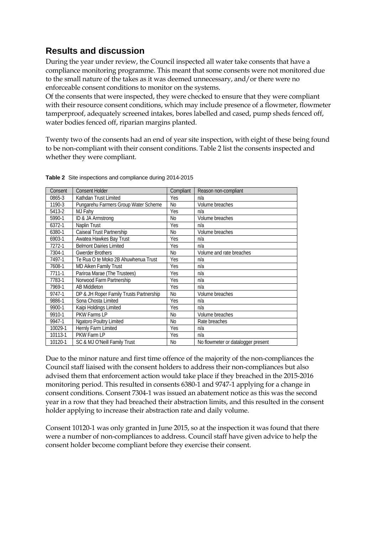### **Results and discussion**

During the year under review, the Council inspected all water take consents that have a compliance monitoring programme. This meant that some consents were not monitored due to the small nature of the takes as it was deemed unnecessary, and/or there were no enforceable consent conditions to monitor on the systems.

Of the consents that were inspected, they were checked to ensure that they were compliant with their resource consent conditions, which may include presence of a flowmeter, flowmeter tamperproof, adequately screened intakes, bores labelled and cased, pump sheds fenced off, water bodies fenced off, riparian margins planted.

Twenty two of the consents had an end of year site inspection, with eight of these being found to be non-compliant with their consent conditions. Table 2 list the consents inspected and whether they were compliant.

| Consent | <b>Consent Holder</b>                   | Compliant      | Reason non-compliant               |
|---------|-----------------------------------------|----------------|------------------------------------|
| 0865-3  | Kathdan Trust Limited                   | Yes            | n/a                                |
| 1190-3  | Pungarehu Farmers Group Water Scheme    | N <sub>0</sub> | Volume breaches                    |
| 5413-2  | MJ Fahv                                 | Yes            | n/a                                |
| 5990-1  | ID & JA Armstrong                       | N <sub>0</sub> | Volume breaches                    |
| 6372-1  | Naplin Trust                            | Yes            | n/a                                |
| 6380-1  | Caiseal Trust Partnership               | N <sub>0</sub> | Volume breaches                    |
| 6903-1  | Awatea Hawkes Bay Trust                 | Yes            | n/a                                |
| 7272-1  | <b>Belmont Dairies Limited</b>          | Yes            | n/a                                |
| 7304-1  | <b>Gwerder Brothers</b>                 | No             | Volume and rate breaches           |
| 7497-1  | Te Rua O te Moko 2B Ahuwhenua Trust     | Yes            | n/a                                |
| 7608-1  | <b>MD Aiken Family Trust</b>            | Yes            | n/a                                |
| 7711-1  | Pariroa Marae (The Trustees)            | Yes            | n/a                                |
| 7783-1  | Norwood Farm Partnership                | Yes            | n/a                                |
| 7969-1  | <b>AB Middleton</b>                     | Yes            | n/a                                |
| 9747-1  | DP & JH Roper Family Trusts Partnership | N <sub>o</sub> | Volume breaches                    |
| 9886-1  | Sona Chosta Limited                     | Yes            | n/a                                |
| 9900-1  | Kaipi Holdings Limited                  | Yes            | n/a                                |
| 9910-1  | PKW Farms LP                            | N <sub>0</sub> | Volume breaches                    |
| 9947-1  | <b>Ngatoro Poultry Limited</b>          | N <sub>0</sub> | Rate breaches                      |
| 10029-1 | Hernly Farm Limited                     | Yes            | n/a                                |
| 10113-1 | PKW Farm LP                             | Yes            | n/a                                |
| 10120-1 | SC & MJ O'Neill Family Trust            | No             | No flowmeter or datalogger present |

**Table 2** Site inspections and compliance during 2014-2015

Due to the minor nature and first time offence of the majority of the non-compliances the Council staff liaised with the consent holders to address their non-compliances but also advised them that enforcement action would take place if they breached in the 2015-2016 monitoring period. This resulted in consents 6380-1 and 9747-1 applying for a change in consent conditions. Consent 7304-1 was issued an abatement notice as this was the second year in a row that they had breached their abstraction limits, and this resulted in the consent holder applying to increase their abstraction rate and daily volume.

Consent 10120-1 was only granted in June 2015, so at the inspection it was found that there were a number of non-compliances to address. Council staff have given advice to help the consent holder become compliant before they exercise their consent.